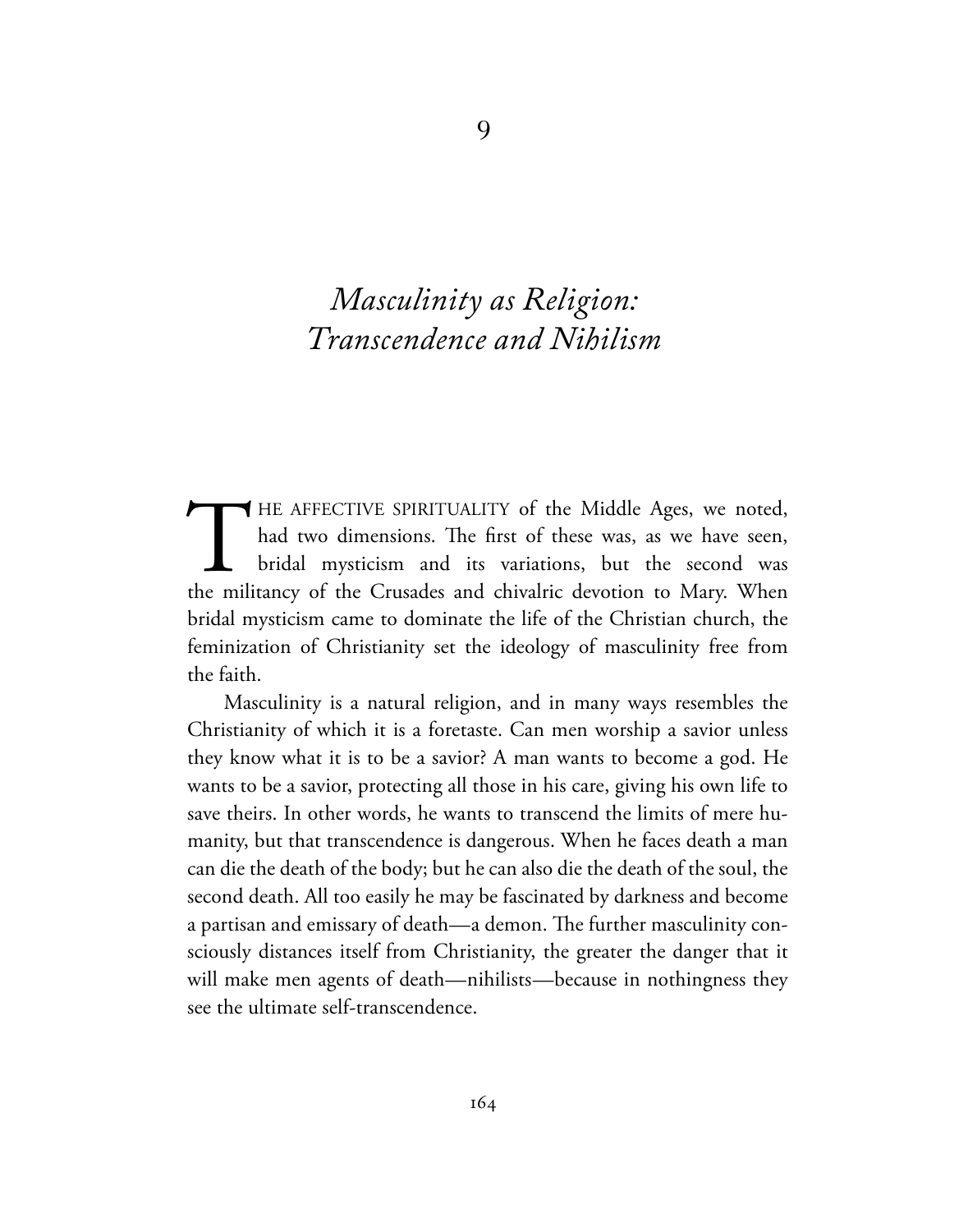# *Masculinity as Religion: Transcendence and Nihilism*

9

HE AFFECTIVE SPIRITUALITY of the Middle Ages, we noted, had two dimensions. The first of these was, as we have seen, bridal mysticism and its variations, but the second was THE AFFECTIVE SPIRITUALITY of the Middle Ages, we noted, had two dimensions. The first of these was, as we have seen, bridal mysticism and its variations, but the second was the militancy of the Crusades and chivalric devo bridal mysticism came to dominate the life of the Christian church, the feminization of Christianity set the ideology of masculinity free from the faith.

Masculinity is a natural religion, and in many ways resembles the Christianity of which it is a foretaste. Can men worship a savior unless they know what it is to be a savior? A man wants to become a god. He wants to be a savior, protecting all those in his care, giving his own life to save theirs. In other words, he wants to transcend the limits of mere humanity, but that transcendence is dangerous. When he faces death a man can die the death of the body; but he can also die the death of the soul, the second death. All too easily he may be fascinated by darkness and become a partisan and emissary of death—a demon. The further masculinity consciously distances itself from Christianity, the greater the danger that it will make men agents of death—nihilists—because in nothingness they see the ultimate self-transcendence.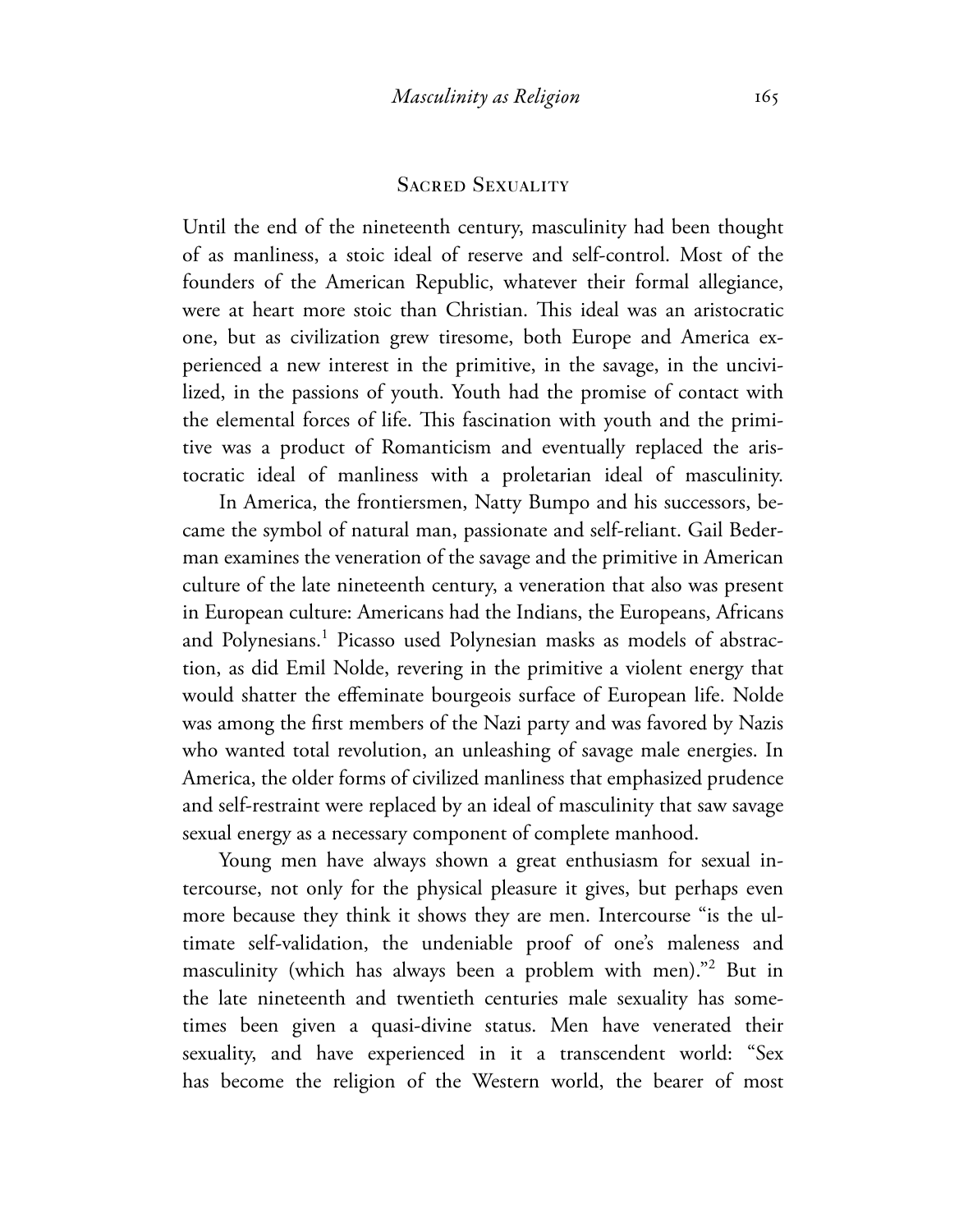#### Sacred Sexuality

Until the end of the nineteenth century, masculinity had been thought of as manliness, a stoic ideal of reserve and self-control. Most of the founders of the American Republic, whatever their formal allegiance, were at heart more stoic than Christian. This ideal was an aristocratic one, but as civilization grew tiresome, both Europe and America experienced a new interest in the primitive, in the savage, in the uncivilized, in the passions of youth. Youth had the promise of contact with the elemental forces of life. This fascination with youth and the primitive was a product of Romanticism and eventually replaced the aristocratic ideal of manliness with a proletarian ideal of masculinity.

In America, the frontiersmen, Natty Bumpo and his successors, became the symbol of natural man, passionate and self-reliant. Gail Bederman examines the veneration of the savage and the primitive in American culture of the late nineteenth century, a veneration that also was present in European culture: Americans had the Indians, the Europeans, Africans and Polynesians.<sup>1</sup> Picasso used Polynesian masks as models of abstraction, as did Emil Nolde, revering in the primitive a violent energy that would shatter the effeminate bourgeois surface of European life. Nolde was among the first members of the Nazi party and was favored by Nazis who wanted total revolution, an unleashing of savage male energies. In America, the older forms of civilized manliness that emphasized prudence and self-restraint were replaced by an ideal of masculinity that saw savage sexual energy as a necessary component of complete manhood.

Young men have always shown a great enthusiasm for sexual intercourse, not only for the physical pleasure it gives, but perhaps even more because they think it shows they are men. Intercourse "is the ultimate self-validation, the undeniable proof of one's maleness and masculinity (which has always been a problem with men)."<sup>2</sup> But in the late nineteenth and twentieth centuries male sexuality has sometimes been given a quasi-divine status. Men have venerated their sexuality, and have experienced in it a transcendent world: "Sex has become the religion of the Western world, the bearer of most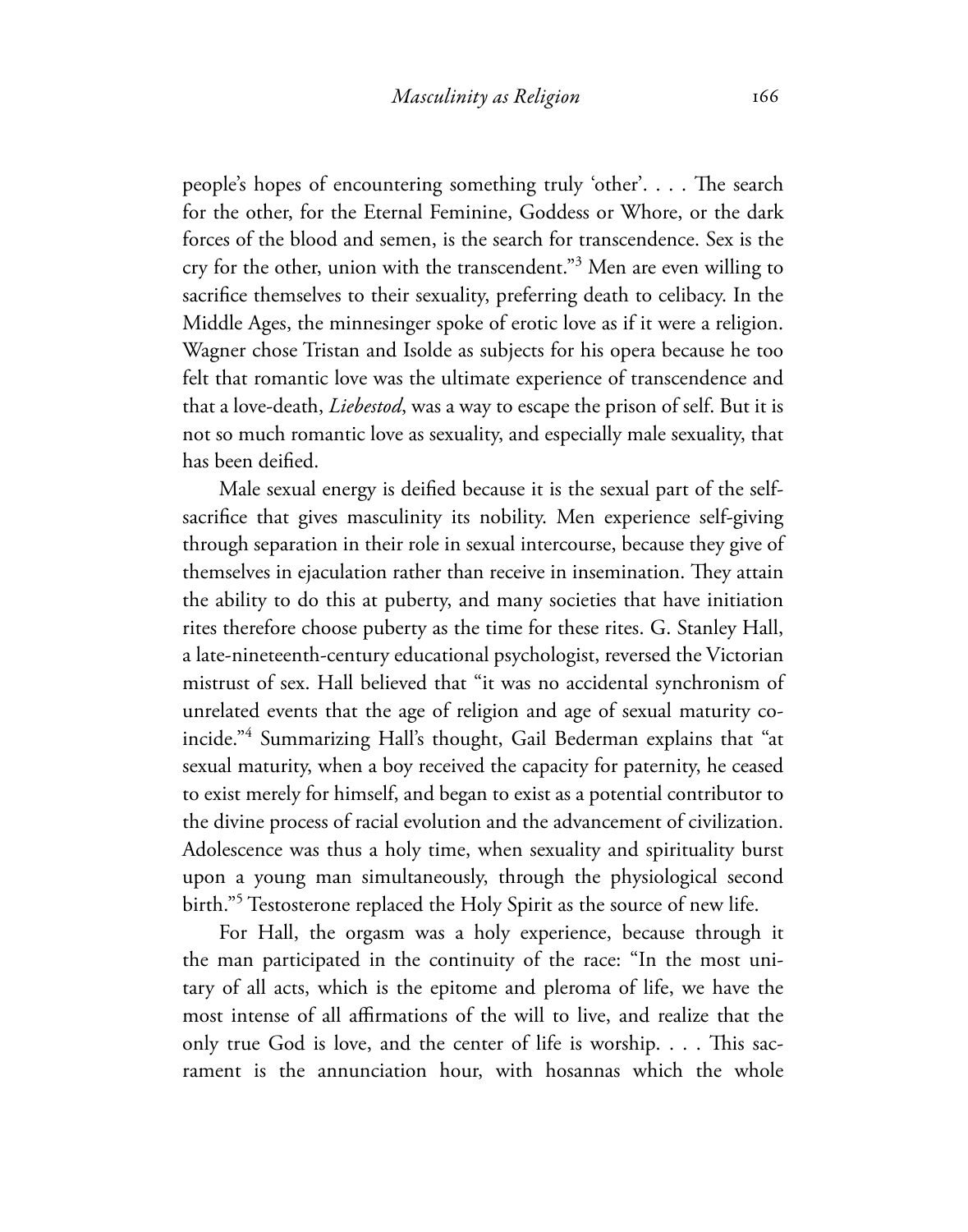people's hopes of encountering something truly 'other'. . . . The search for the other, for the Eternal Feminine, Goddess or Whore, or the dark forces of the blood and semen, is the search for transcendence. Sex is the cry for the other, union with the transcendent."3 Men are even willing to sacrifice themselves to their sexuality, preferring death to celibacy. In the Middle Ages, the minnesinger spoke of erotic love as if it were a religion. Wagner chose Tristan and Isolde as subjects for his opera because he too felt that romantic love was the ultimate experience of transcendence and that a love-death, *Liebestod*, was a way to escape the prison of self. But it is not so much romantic love as sexuality, and especially male sexuality, that has been deified.

Male sexual energy is deified because it is the sexual part of the selfsacrifice that gives masculinity its nobility. Men experience self-giving through separation in their role in sexual intercourse, because they give of themselves in ejaculation rather than receive in insemination. They attain the ability to do this at puberty, and many societies that have initiation rites therefore choose puberty as the time for these rites. G. Stanley Hall, a late-nineteenth-century educational psychologist, reversed the Victorian mistrust of sex. Hall believed that "it was no accidental synchronism of unrelated events that the age of religion and age of sexual maturity coincide."4 Summarizing Hall's thought, Gail Bederman explains that "at sexual maturity, when a boy received the capacity for paternity, he ceased to exist merely for himself, and began to exist as a potential contributor to the divine process of racial evolution and the advancement of civilization. Adolescence was thus a holy time, when sexuality and spirituality burst upon a young man simultaneously, through the physiological second birth."<sup>5</sup> Testosterone replaced the Holy Spirit as the source of new life.

For Hall, the orgasm was a holy experience, because through it the man participated in the continuity of the race: "In the most unitary of all acts, which is the epitome and pleroma of life, we have the most intense of all affirmations of the will to live, and realize that the only true God is love, and the center of life is worship. . . . This sacrament is the annunciation hour, with hosannas which the whole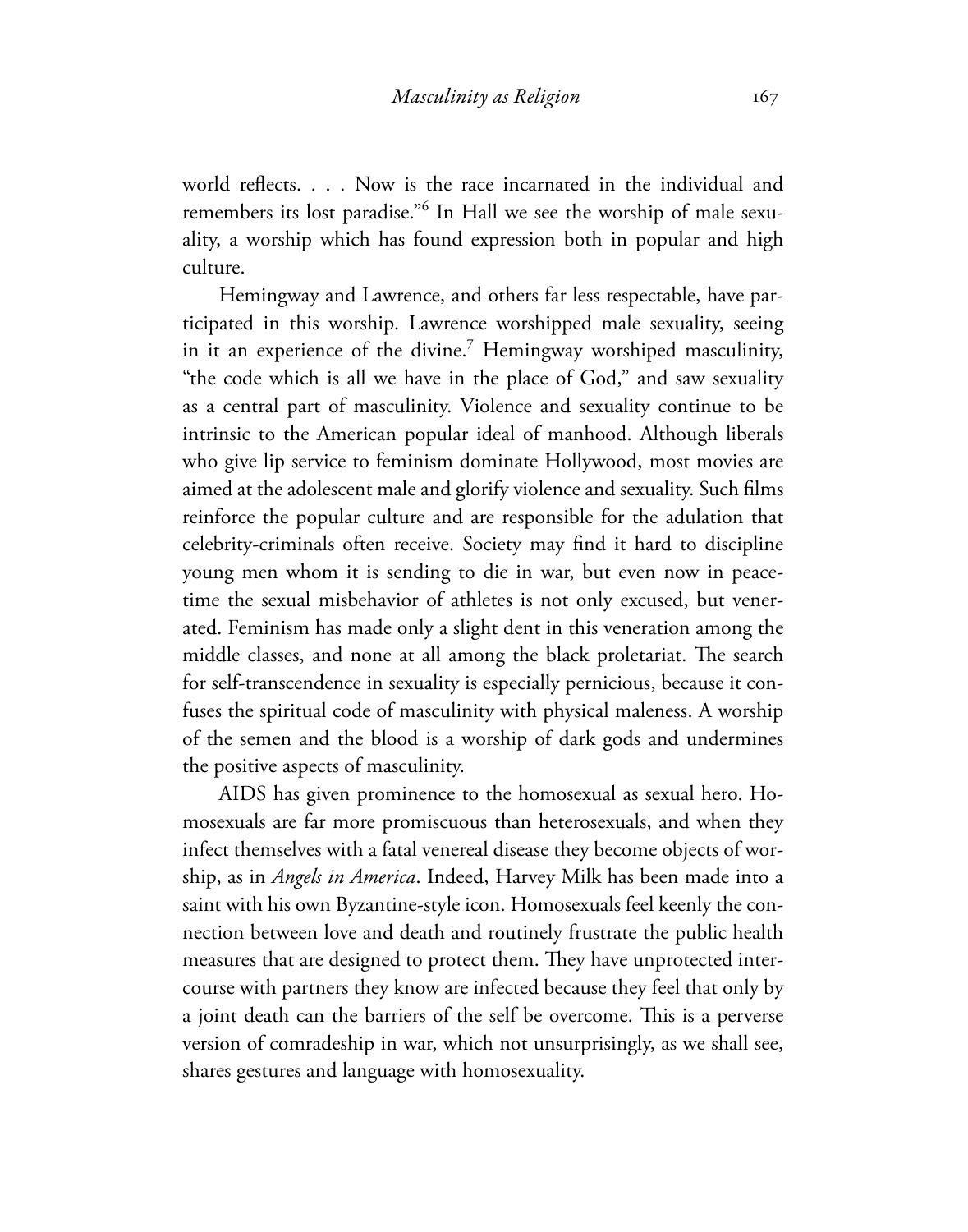world reflects. . . . Now is the race incarnated in the individual and remembers its lost paradise."<sup>6</sup> In Hall we see the worship of male sexuality, a worship which has found expression both in popular and high culture.

Hemingway and Lawrence, and others far less respectable, have participated in this worship. Lawrence worshipped male sexuality, seeing in it an experience of the divine.<sup>7</sup> Hemingway worshiped masculinity, "the code which is all we have in the place of God," and saw sexuality as a central part of masculinity. Violence and sexuality continue to be intrinsic to the American popular ideal of manhood. Although liberals who give lip service to feminism dominate Hollywood, most movies are aimed at the adolescent male and glorify violence and sexuality. Such films reinforce the popular culture and are responsible for the adulation that celebrity-criminals often receive. Society may find it hard to discipline young men whom it is sending to die in war, but even now in peacetime the sexual misbehavior of athletes is not only excused, but venerated. Feminism has made only a slight dent in this veneration among the middle classes, and none at all among the black proletariat. The search for self-transcendence in sexuality is especially pernicious, because it confuses the spiritual code of masculinity with physical maleness. A worship of the semen and the blood is a worship of dark gods and undermines the positive aspects of masculinity.

AIDS has given prominence to the homosexual as sexual hero. Homosexuals are far more promiscuous than heterosexuals, and when they infect themselves with a fatal venereal disease they become objects of worship, as in *Angels in America*. Indeed, Harvey Milk has been made into a saint with his own Byzantine-style icon. Homosexuals feel keenly the connection between love and death and routinely frustrate the public health measures that are designed to protect them. They have unprotected intercourse with partners they know are infected because they feel that only by a joint death can the barriers of the self be overcome. This is a perverse version of comradeship in war, which not unsurprisingly, as we shall see, shares gestures and language with homosexuality.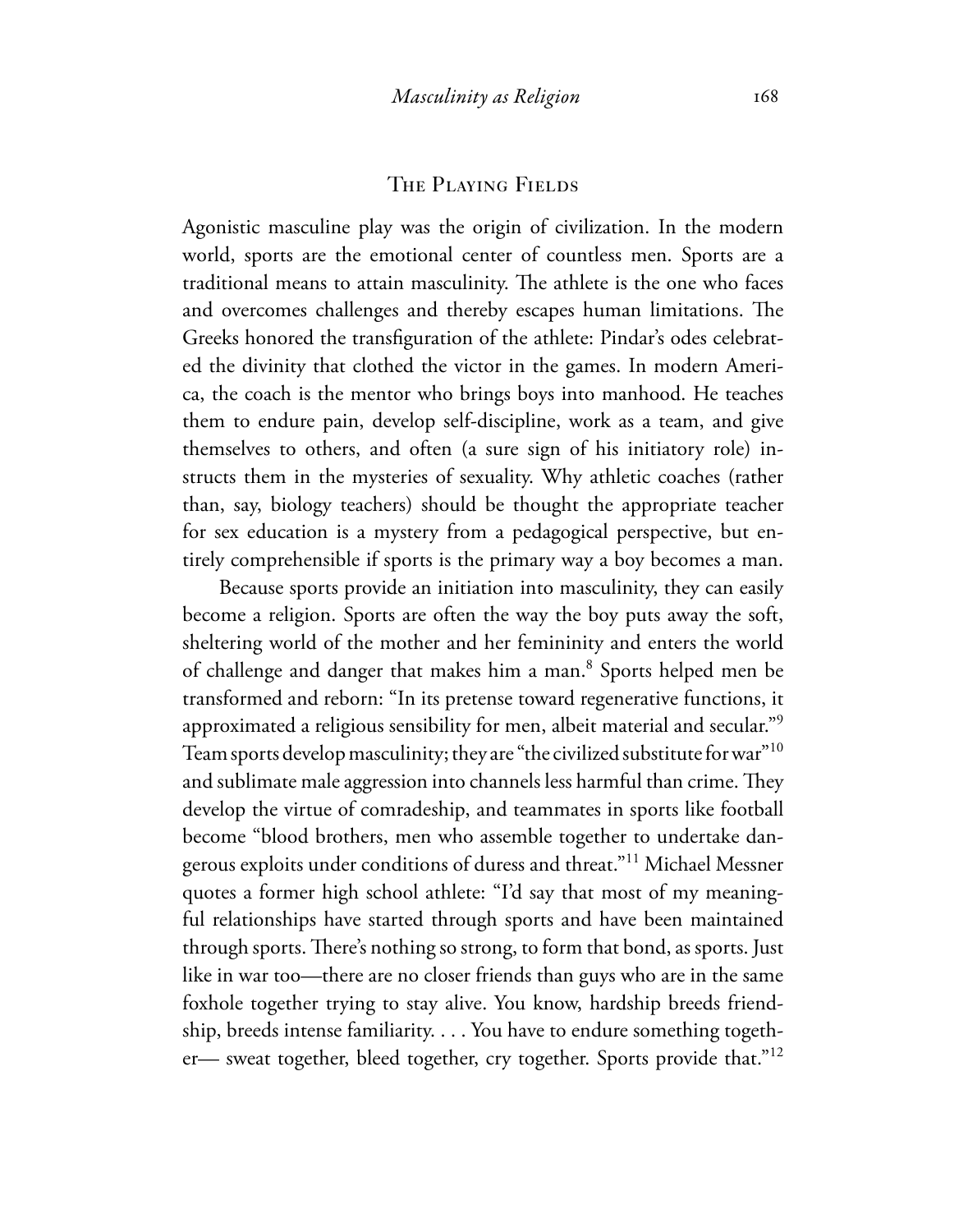## The Playing Fields

Agonistic masculine play was the origin of civilization. In the modern world, sports are the emotional center of countless men. Sports are a traditional means to attain masculinity. The athlete is the one who faces and overcomes challenges and thereby escapes human limitations. The Greeks honored the transfiguration of the athlete: Pindar's odes celebrated the divinity that clothed the victor in the games. In modern America, the coach is the mentor who brings boys into manhood. He teaches them to endure pain, develop self-discipline, work as a team, and give themselves to others, and often (a sure sign of his initiatory role) instructs them in the mysteries of sexuality. Why athletic coaches (rather than, say, biology teachers) should be thought the appropriate teacher for sex education is a mystery from a pedagogical perspective, but entirely comprehensible if sports is the primary way a boy becomes a man.

Because sports provide an initiation into masculinity, they can easily become a religion. Sports are often the way the boy puts away the soft, sheltering world of the mother and her femininity and enters the world of challenge and danger that makes him a man.<sup>8</sup> Sports helped men be transformed and reborn: "In its pretense toward regenerative functions, it approximated a religious sensibility for men, albeit material and secular."9 Team sports develop masculinity; they are "the civilized substitute for war"<sup>10</sup> and sublimate male aggression into channels less harmful than crime. They develop the virtue of comradeship, and teammates in sports like football become "blood brothers, men who assemble together to undertake dangerous exploits under conditions of duress and threat."11 Michael Messner quotes a former high school athlete: "I'd say that most of my meaningful relationships have started through sports and have been maintained through sports. There's nothing so strong, to form that bond, as sports. Just like in war too—there are no closer friends than guys who are in the same foxhole together trying to stay alive. You know, hardship breeds friendship, breeds intense familiarity. . . . You have to endure something together— sweat together, bleed together, cry together. Sports provide that."<sup>12</sup>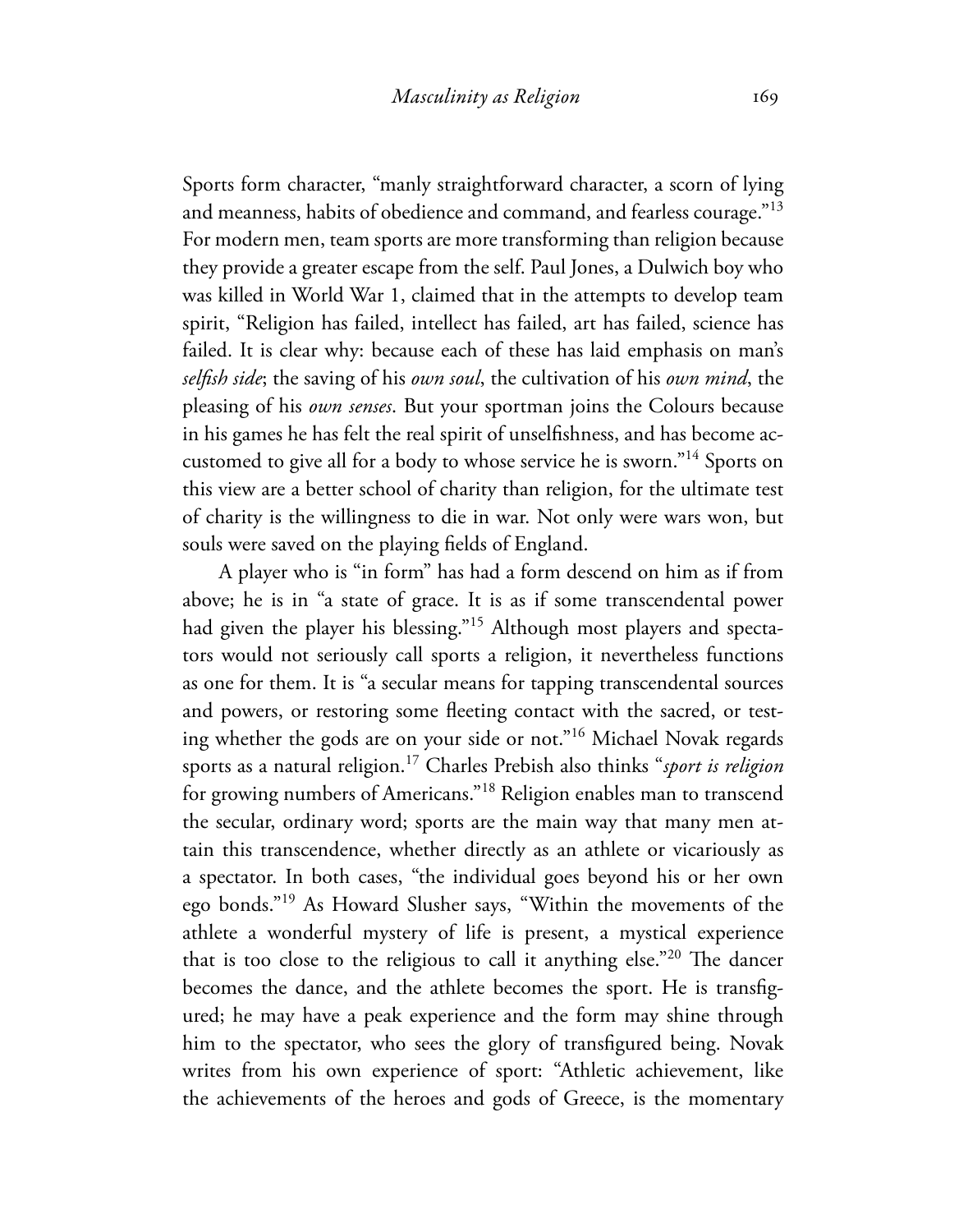Sports form character, "manly straightforward character, a scorn of lying and meanness, habits of obedience and command, and fearless courage."<sup>13</sup> For modern men, team sports are more transforming than religion because they provide a greater escape from the self. Paul Jones, a Dulwich boy who was killed in World War 1, claimed that in the attempts to develop team spirit, "Religion has failed, intellect has failed, art has failed, science has failed. It is clear why: because each of these has laid emphasis on man's *selfish side*; the saving of his *own soul*, the cultivation of his *own mind*, the pleasing of his *own senses*. But your sportman joins the Colours because in his games he has felt the real spirit of unselfishness, and has become accustomed to give all for a body to whose service he is sworn."14 Sports on this view are a better school of charity than religion, for the ultimate test of charity is the willingness to die in war. Not only were wars won, but souls were saved on the playing fields of England.

A player who is "in form" has had a form descend on him as if from above; he is in "a state of grace. It is as if some transcendental power had given the player his blessing."15 Although most players and spectators would not seriously call sports a religion, it nevertheless functions as one for them. It is "a secular means for tapping transcendental sources and powers, or restoring some fleeting contact with the sacred, or testing whether the gods are on your side or not."16 Michael Novak regards sports as a natural religion.17 Charles Prebish also thinks "*sport is religion* for growing numbers of Americans."18 Religion enables man to transcend the secular, ordinary word; sports are the main way that many men attain this transcendence, whether directly as an athlete or vicariously as a spectator. In both cases, "the individual goes beyond his or her own ego bonds."19 As Howard Slusher says, "Within the movements of the athlete a wonderful mystery of life is present, a mystical experience that is too close to the religious to call it anything else."20 The dancer becomes the dance, and the athlete becomes the sport. He is transfigured; he may have a peak experience and the form may shine through him to the spectator, who sees the glory of transfigured being. Novak writes from his own experience of sport: "Athletic achievement, like the achievements of the heroes and gods of Greece, is the momentary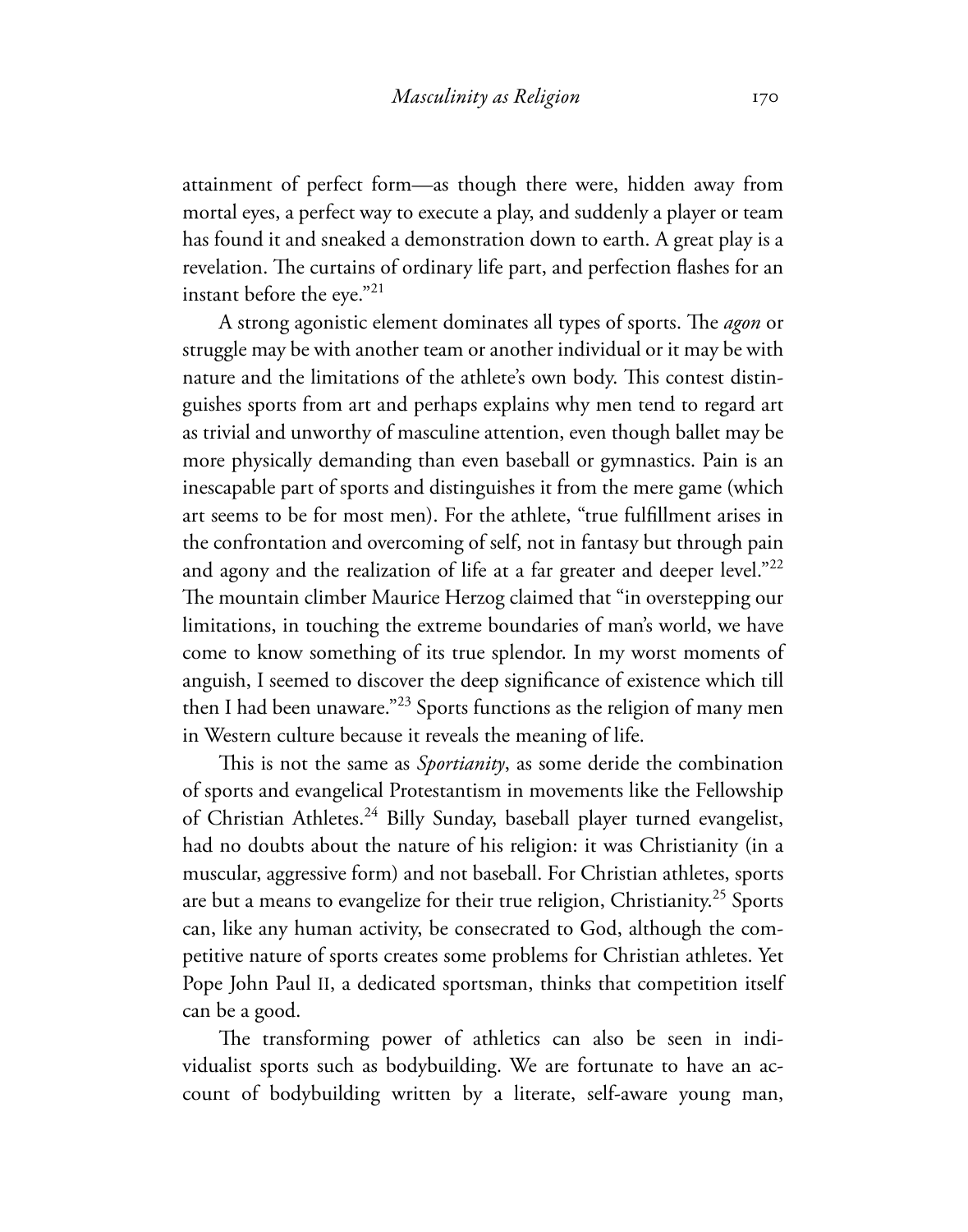attainment of perfect form—as though there were, hidden away from mortal eyes, a perfect way to execute a play, and suddenly a player or team has found it and sneaked a demonstration down to earth. A great play is a revelation. The curtains of ordinary life part, and perfection flashes for an instant before the eye."21

A strong agonistic element dominates all types of sports. The *agon* or struggle may be with another team or another individual or it may be with nature and the limitations of the athlete's own body. This contest distinguishes sports from art and perhaps explains why men tend to regard art as trivial and unworthy of masculine attention, even though ballet may be more physically demanding than even baseball or gymnastics. Pain is an inescapable part of sports and distinguishes it from the mere game (which art seems to be for most men). For the athlete, "true fulfillment arises in the confrontation and overcoming of self, not in fantasy but through pain and agony and the realization of life at a far greater and deeper level."<sup>22</sup> The mountain climber Maurice Herzog claimed that "in overstepping our limitations, in touching the extreme boundaries of man's world, we have come to know something of its true splendor. In my worst moments of anguish, I seemed to discover the deep significance of existence which till then I had been unaware."23 Sports functions as the religion of many men in Western culture because it reveals the meaning of life.

This is not the same as *Sportianity*, as some deride the combination of sports and evangelical Protestantism in movements like the Fellowship of Christian Athletes.<sup>24</sup> Billy Sunday, baseball player turned evangelist, had no doubts about the nature of his religion: it was Christianity (in a muscular, aggressive form) and not baseball. For Christian athletes, sports are but a means to evangelize for their true religion, Christianity.<sup>25</sup> Sports can, like any human activity, be consecrated to God, although the competitive nature of sports creates some problems for Christian athletes. Yet Pope John Paul II, a dedicated sportsman, thinks that competition itself can be a good.

The transforming power of athletics can also be seen in individualist sports such as bodybuilding. We are fortunate to have an account of bodybuilding written by a literate, self-aware young man,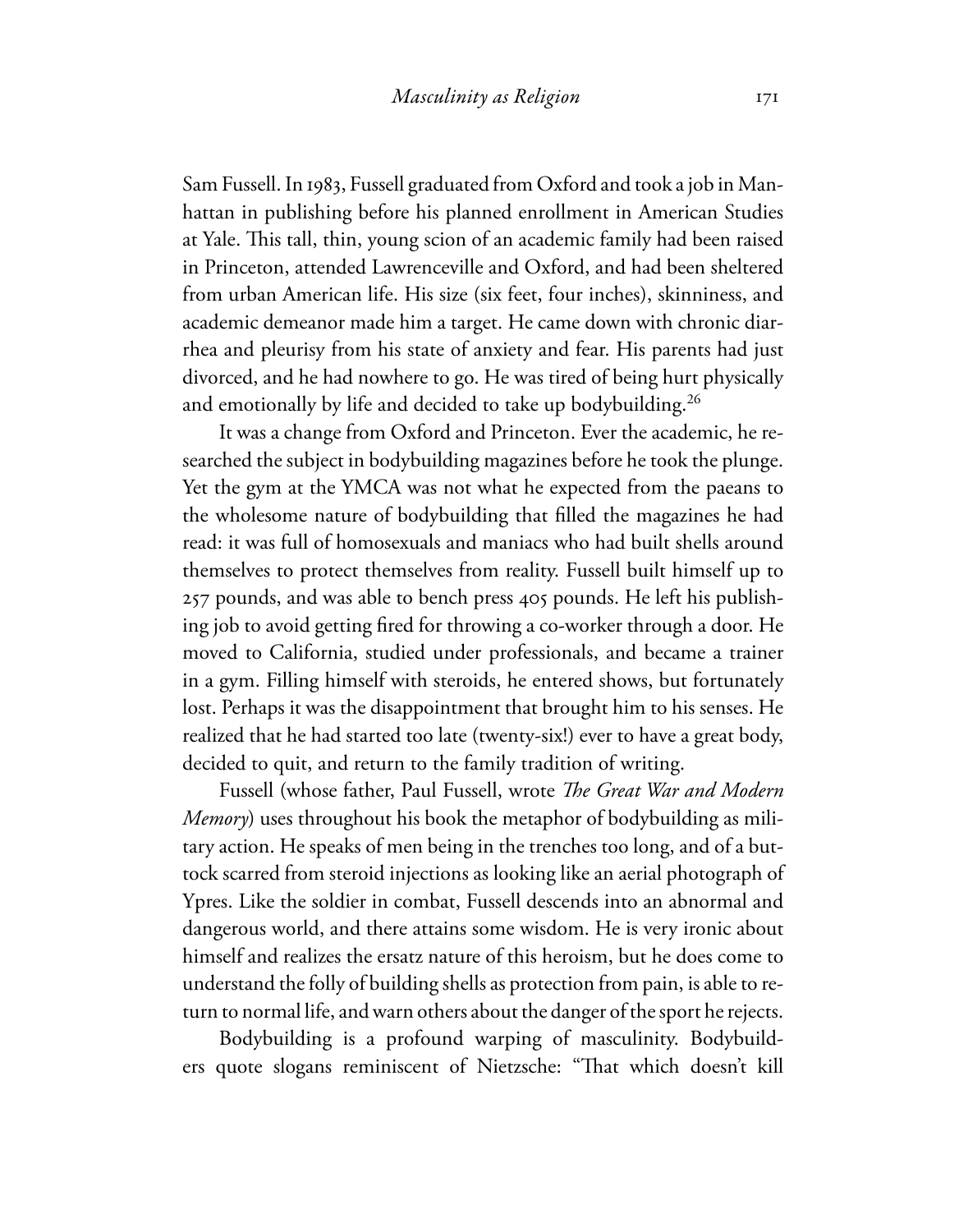Sam Fussell. In 1983, Fussell graduated from Oxford and took a job in Manhattan in publishing before his planned enrollment in American Studies at Yale. This tall, thin, young scion of an academic family had been raised in Princeton, attended Lawrenceville and Oxford, and had been sheltered from urban American life. His size (six feet, four inches), skinniness, and academic demeanor made him a target. He came down with chronic diarrhea and pleurisy from his state of anxiety and fear. His parents had just divorced, and he had nowhere to go. He was tired of being hurt physically and emotionally by life and decided to take up bodybuilding.<sup>26</sup>

It was a change from Oxford and Princeton. Ever the academic, he researched the subject in bodybuilding magazines before he took the plunge. Yet the gym at the YMCA was not what he expected from the paeans to the wholesome nature of bodybuilding that filled the magazines he had read: it was full of homosexuals and maniacs who had built shells around themselves to protect themselves from reality. Fussell built himself up to 257 pounds, and was able to bench press 405 pounds. He left his publishing job to avoid getting fired for throwing a co-worker through a door. He moved to California, studied under professionals, and became a trainer in a gym. Filling himself with steroids, he entered shows, but fortunately lost. Perhaps it was the disappointment that brought him to his senses. He realized that he had started too late (twenty-six!) ever to have a great body, decided to quit, and return to the family tradition of writing.

Fussell (whose father, Paul Fussell, wrote *The Great War and Modern Memory*) uses throughout his book the metaphor of bodybuilding as military action. He speaks of men being in the trenches too long, and of a buttock scarred from steroid injections as looking like an aerial photograph of Ypres. Like the soldier in combat, Fussell descends into an abnormal and dangerous world, and there attains some wisdom. He is very ironic about himself and realizes the ersatz nature of this heroism, but he does come to understand the folly of building shells as protection from pain, is able to return to normal life, and warn others about the danger of the sport he rejects.

Bodybuilding is a profound warping of masculinity. Bodybuilders quote slogans reminiscent of Nietzsche: "That which doesn't kill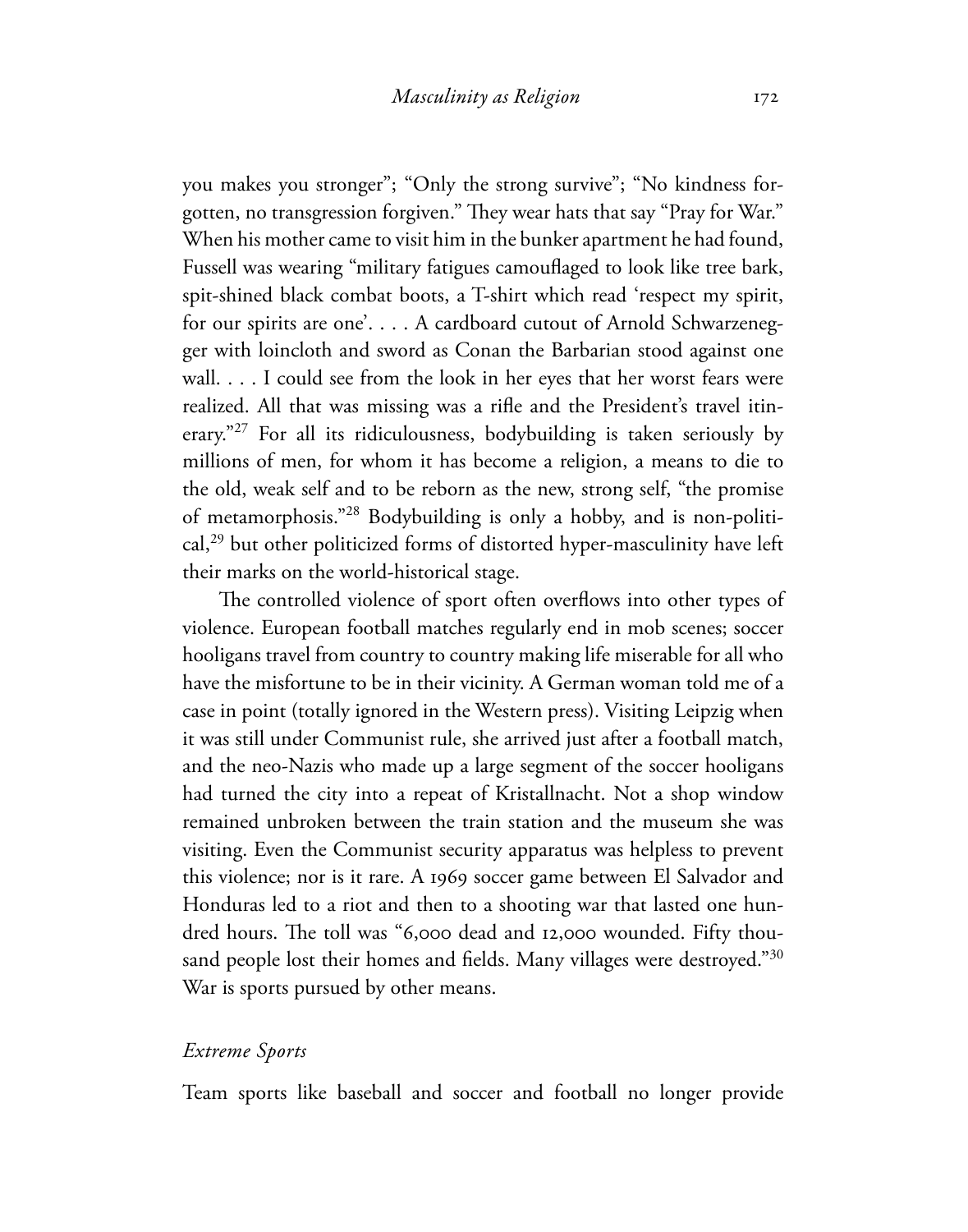you makes you stronger"; "Only the strong survive"; "No kindness forgotten, no transgression forgiven." They wear hats that say "Pray for War." When his mother came to visit him in the bunker apartment he had found, Fussell was wearing "military fatigues camouflaged to look like tree bark, spit-shined black combat boots, a T-shirt which read 'respect my spirit, for our spirits are one'. . . . A cardboard cutout of Arnold Schwarzenegger with loincloth and sword as Conan the Barbarian stood against one wall. . . . I could see from the look in her eyes that her worst fears were realized. All that was missing was a rifle and the President's travel itinerary."<sup>27</sup> For all its ridiculousness, bodybuilding is taken seriously by millions of men, for whom it has become a religion, a means to die to the old, weak self and to be reborn as the new, strong self, "the promise of metamorphosis."28 Bodybuilding is only a hobby, and is non-politi $cal<sub>1</sub><sup>29</sup>$  but other politicized forms of distorted hyper-masculinity have left their marks on the world-historical stage.

The controlled violence of sport often overflows into other types of violence. European football matches regularly end in mob scenes; soccer hooligans travel from country to country making life miserable for all who have the misfortune to be in their vicinity. A German woman told me of a case in point (totally ignored in the Western press). Visiting Leipzig when it was still under Communist rule, she arrived just after a football match, and the neo-Nazis who made up a large segment of the soccer hooligans had turned the city into a repeat of Kristallnacht. Not a shop window remained unbroken between the train station and the museum she was visiting. Even the Communist security apparatus was helpless to prevent this violence; nor is it rare. A 1969 soccer game between El Salvador and Honduras led to a riot and then to a shooting war that lasted one hundred hours. The toll was "6,000 dead and 12,000 wounded. Fifty thousand people lost their homes and fields. Many villages were destroyed."<sup>30</sup> War is sports pursued by other means.

#### *Extreme Sports*

Team sports like baseball and soccer and football no longer provide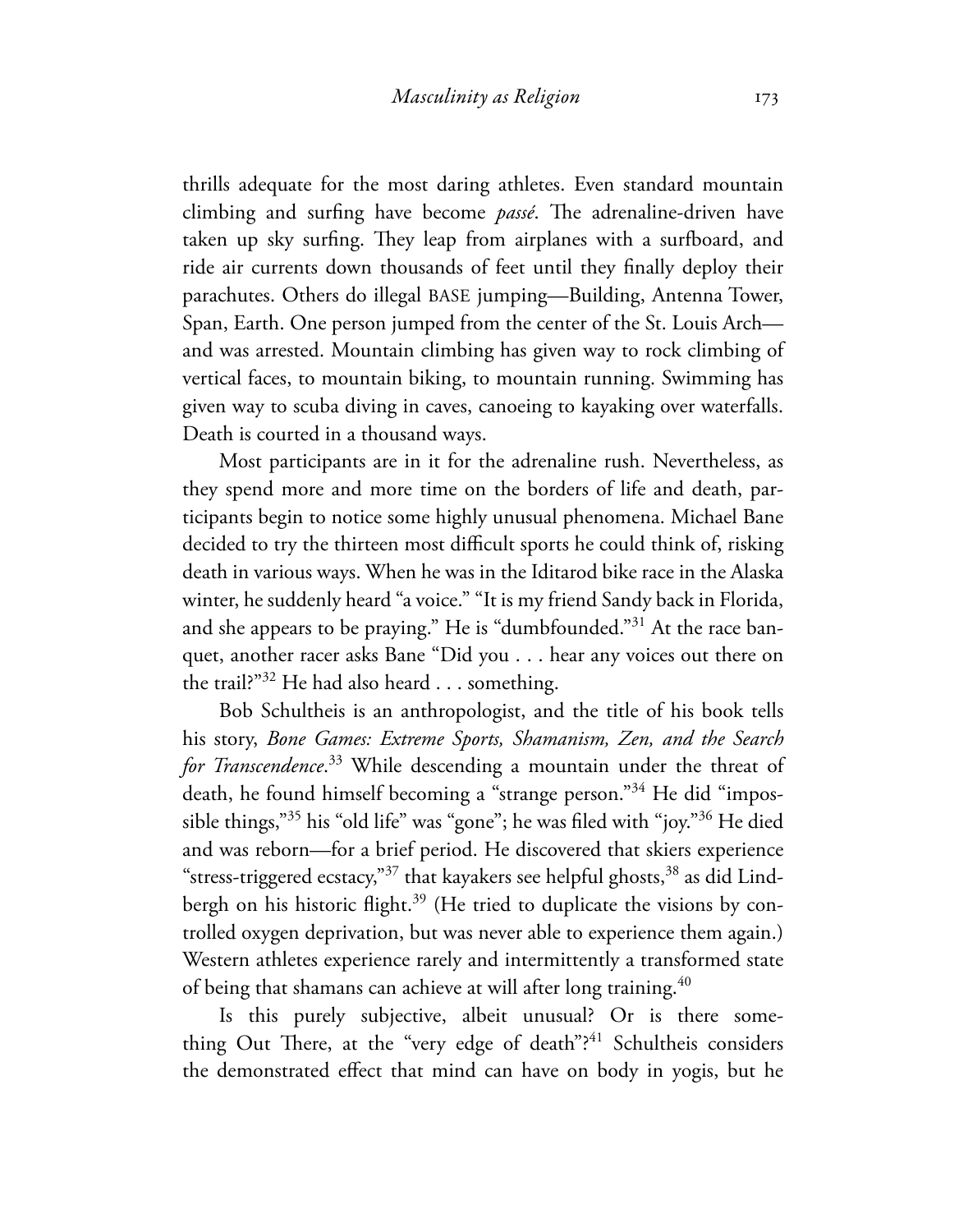thrills adequate for the most daring athletes. Even standard mountain climbing and surfing have become *passé*. The adrenaline-driven have taken up sky surfing. They leap from airplanes with a surfboard, and ride air currents down thousands of feet until they finally deploy their parachutes. Others do illegal BASE jumping—Building, Antenna Tower, Span, Earth. One person jumped from the center of the St. Louis Arch and was arrested. Mountain climbing has given way to rock climbing of vertical faces, to mountain biking, to mountain running. Swimming has given way to scuba diving in caves, canoeing to kayaking over waterfalls. Death is courted in a thousand ways.

Most participants are in it for the adrenaline rush. Nevertheless, as they spend more and more time on the borders of life and death, participants begin to notice some highly unusual phenomena. Michael Bane decided to try the thirteen most difficult sports he could think of, risking death in various ways. When he was in the Iditarod bike race in the Alaska winter, he suddenly heard "a voice." "It is my friend Sandy back in Florida, and she appears to be praying." He is "dumbfounded."31 At the race banquet, another racer asks Bane "Did you . . . hear any voices out there on the trail?"32 He had also heard . . . something.

Bob Schultheis is an anthropologist, and the title of his book tells his story, *Bone Games: Extreme Sports, Shamanism, Zen, and the Search for Transcendence*. 33 While descending a mountain under the threat of death, he found himself becoming a "strange person."<sup>34</sup> He did "impossible things,"35 his "old life" was "gone"; he was filed with "joy."36 He died and was reborn—for a brief period. He discovered that skiers experience "stress-triggered ecstacy,"<sup>37</sup> that kayakers see helpful ghosts,  $38$  as did Lindbergh on his historic flight.<sup>39</sup> (He tried to duplicate the visions by controlled oxygen deprivation, but was never able to experience them again.) Western athletes experience rarely and intermittently a transformed state of being that shamans can achieve at will after long training.<sup>40</sup>

Is this purely subjective, albeit unusual? Or is there something Out There, at the "very edge of death"? $41$  Schultheis considers the demonstrated effect that mind can have on body in yogis, but he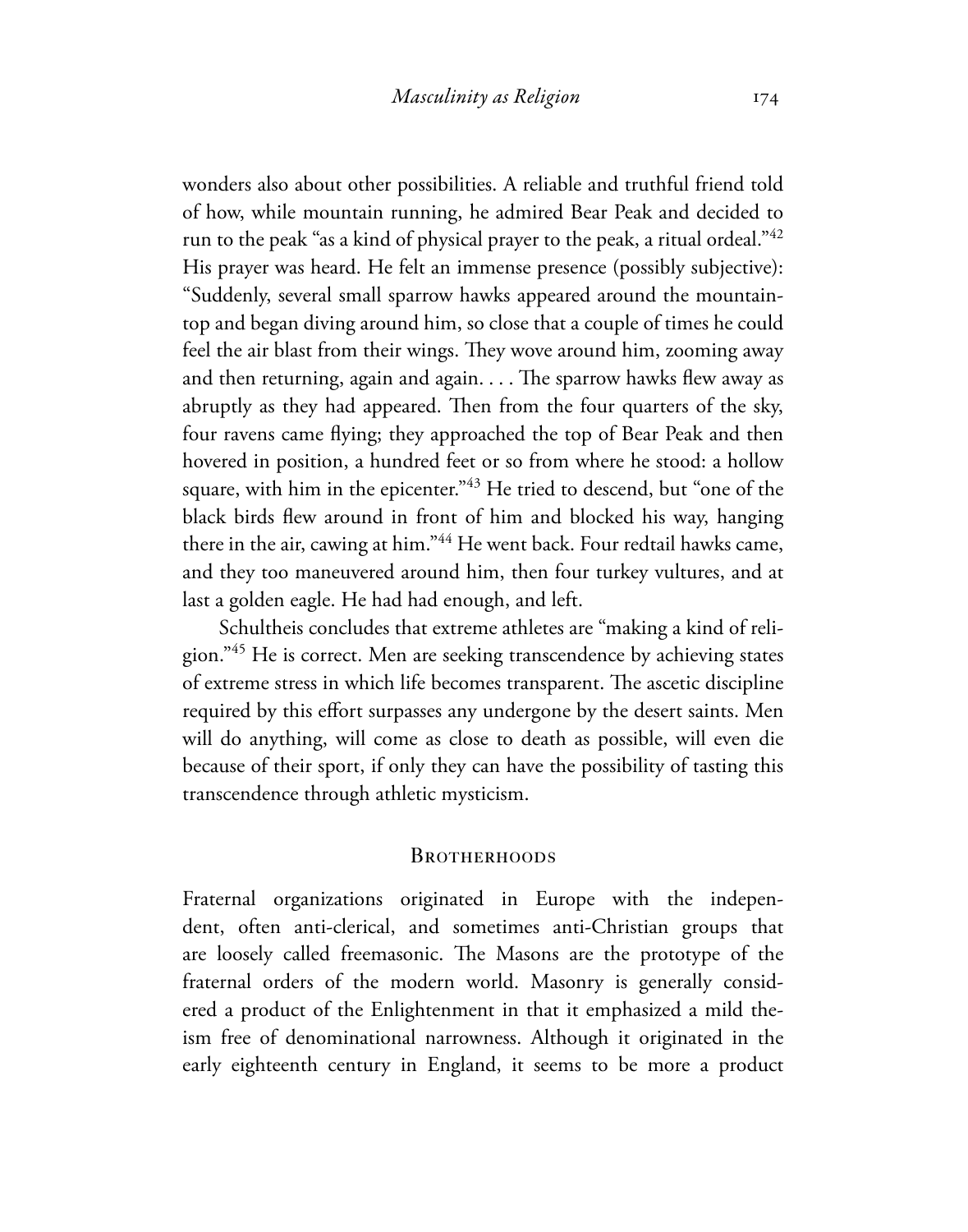wonders also about other possibilities. A reliable and truthful friend told of how, while mountain running, he admired Bear Peak and decided to run to the peak "as a kind of physical prayer to the peak, a ritual ordeal."<sup>42</sup> His prayer was heard. He felt an immense presence (possibly subjective): "Suddenly, several small sparrow hawks appeared around the mountaintop and began diving around him, so close that a couple of times he could feel the air blast from their wings. They wove around him, zooming away and then returning, again and again. . . . The sparrow hawks flew away as abruptly as they had appeared. Then from the four quarters of the sky, four ravens came flying; they approached the top of Bear Peak and then hovered in position, a hundred feet or so from where he stood: a hollow square, with him in the epicenter."<sup>43</sup> He tried to descend, but "one of the black birds flew around in front of him and blocked his way, hanging there in the air, cawing at him."44 He went back. Four redtail hawks came, and they too maneuvered around him, then four turkey vultures, and at last a golden eagle. He had had enough, and left.

Schultheis concludes that extreme athletes are "making a kind of religion."45 He is correct. Men are seeking transcendence by achieving states of extreme stress in which life becomes transparent. The ascetic discipline required by this effort surpasses any undergone by the desert saints. Men will do anything, will come as close to death as possible, will even die because of their sport, if only they can have the possibility of tasting this transcendence through athletic mysticism.

## **BROTHERHOODS**

Fraternal organizations originated in Europe with the independent, often anti-clerical, and sometimes anti-Christian groups that are loosely called freemasonic. The Masons are the prototype of the fraternal orders of the modern world. Masonry is generally considered a product of the Enlightenment in that it emphasized a mild theism free of denominational narrowness. Although it originated in the early eighteenth century in England, it seems to be more a product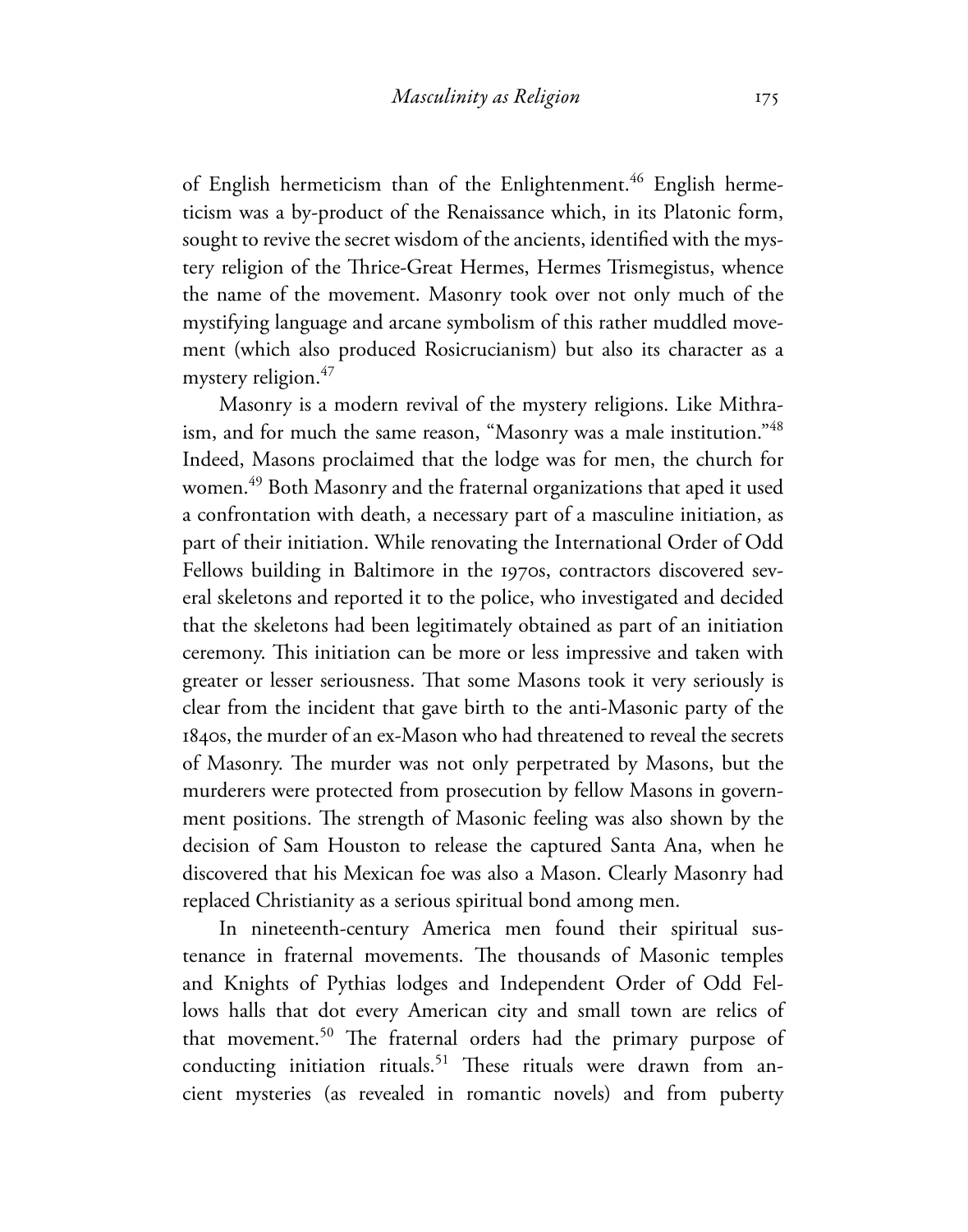of English hermeticism than of the Enlightenment.<sup>46</sup> English hermeticism was a by-product of the Renaissance which, in its Platonic form, sought to revive the secret wisdom of the ancients, identified with the mystery religion of the Thrice-Great Hermes, Hermes Trismegistus, whence the name of the movement. Masonry took over not only much of the mystifying language and arcane symbolism of this rather muddled movement (which also produced Rosicrucianism) but also its character as a mystery religion.<sup>47</sup>

Masonry is a modern revival of the mystery religions. Like Mithraism, and for much the same reason, "Masonry was a male institution."<sup>48</sup> Indeed, Masons proclaimed that the lodge was for men, the church for women.49 Both Masonry and the fraternal organizations that aped it used a confrontation with death, a necessary part of a masculine initiation, as part of their initiation. While renovating the International Order of Odd Fellows building in Baltimore in the 1970s, contractors discovered several skeletons and reported it to the police, who investigated and decided that the skeletons had been legitimately obtained as part of an initiation ceremony. This initiation can be more or less impressive and taken with greater or lesser seriousness. That some Masons took it very seriously is clear from the incident that gave birth to the anti-Masonic party of the 840s, the murder of an ex-Mason who had threatened to reveal the secrets of Masonry. The murder was not only perpetrated by Masons, but the murderers were protected from prosecution by fellow Masons in government positions. The strength of Masonic feeling was also shown by the decision of Sam Houston to release the captured Santa Ana, when he discovered that his Mexican foe was also a Mason. Clearly Masonry had replaced Christianity as a serious spiritual bond among men.

In nineteenth-century America men found their spiritual sustenance in fraternal movements. The thousands of Masonic temples and Knights of Pythias lodges and Independent Order of Odd Fellows halls that dot every American city and small town are relics of that movement.50 The fraternal orders had the primary purpose of conducting initiation rituals.<sup>51</sup> These rituals were drawn from ancient mysteries (as revealed in romantic novels) and from puberty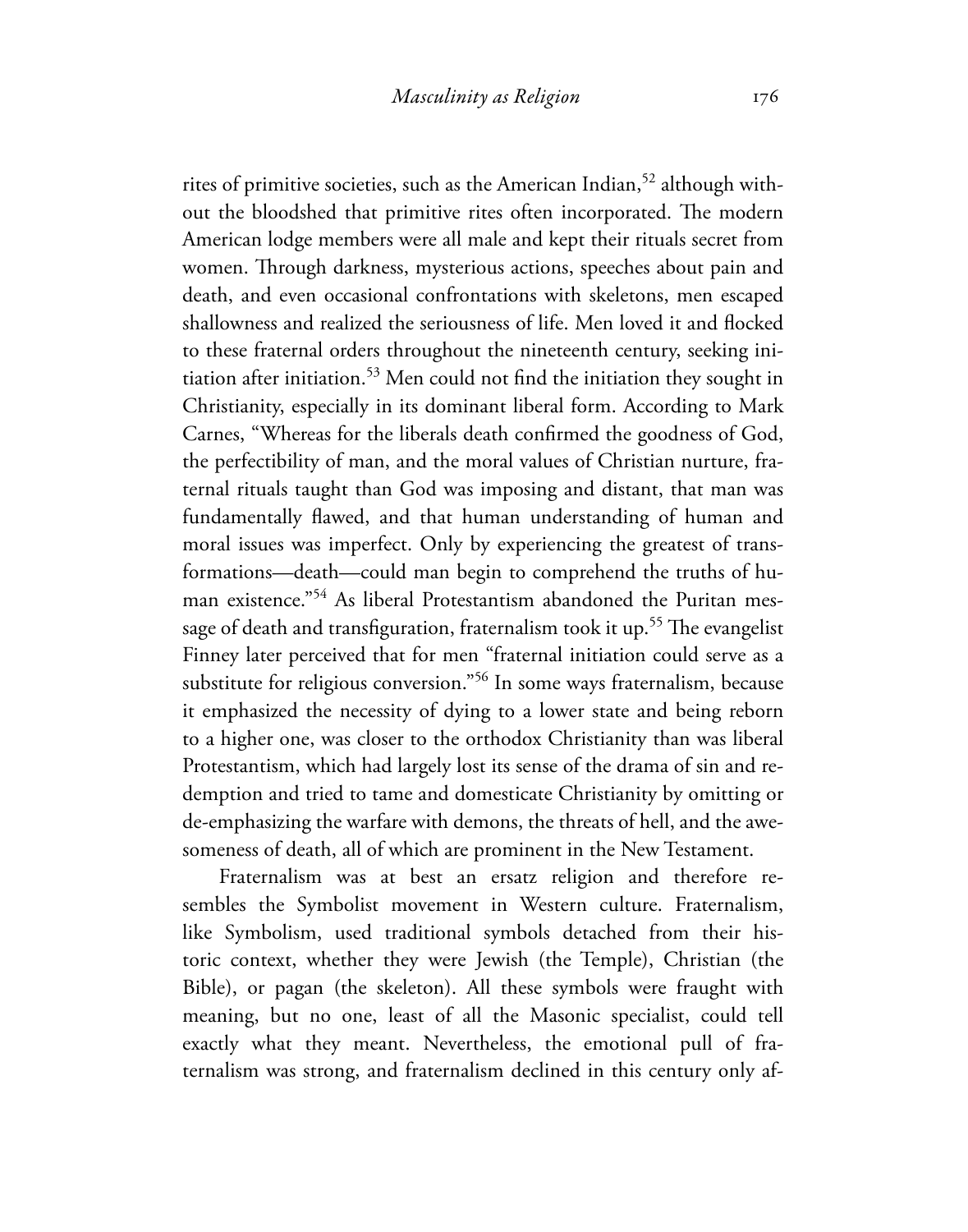rites of primitive societies, such as the American Indian,<sup>52</sup> although without the bloodshed that primitive rites often incorporated. The modern American lodge members were all male and kept their rituals secret from women. Through darkness, mysterious actions, speeches about pain and death, and even occasional confrontations with skeletons, men escaped shallowness and realized the seriousness of life. Men loved it and flocked to these fraternal orders throughout the nineteenth century, seeking initiation after initiation.<sup>53</sup> Men could not find the initiation they sought in Christianity, especially in its dominant liberal form. According to Mark Carnes, "Whereas for the liberals death confirmed the goodness of God, the perfectibility of man, and the moral values of Christian nurture, fraternal rituals taught than God was imposing and distant, that man was fundamentally flawed, and that human understanding of human and moral issues was imperfect. Only by experiencing the greatest of transformations—death—could man begin to comprehend the truths of human existence."54 As liberal Protestantism abandoned the Puritan message of death and transfiguration, fraternalism took it up.<sup>55</sup> The evangelist Finney later perceived that for men "fraternal initiation could serve as a substitute for religious conversion."<sup>56</sup> In some ways fraternalism, because it emphasized the necessity of dying to a lower state and being reborn to a higher one, was closer to the orthodox Christianity than was liberal Protestantism, which had largely lost its sense of the drama of sin and redemption and tried to tame and domesticate Christianity by omitting or de-emphasizing the warfare with demons, the threats of hell, and the awesomeness of death, all of which are prominent in the New Testament.

Fraternalism was at best an ersatz religion and therefore resembles the Symbolist movement in Western culture. Fraternalism, like Symbolism, used traditional symbols detached from their historic context, whether they were Jewish (the Temple), Christian (the Bible), or pagan (the skeleton). All these symbols were fraught with meaning, but no one, least of all the Masonic specialist, could tell exactly what they meant. Nevertheless, the emotional pull of fraternalism was strong, and fraternalism declined in this century only af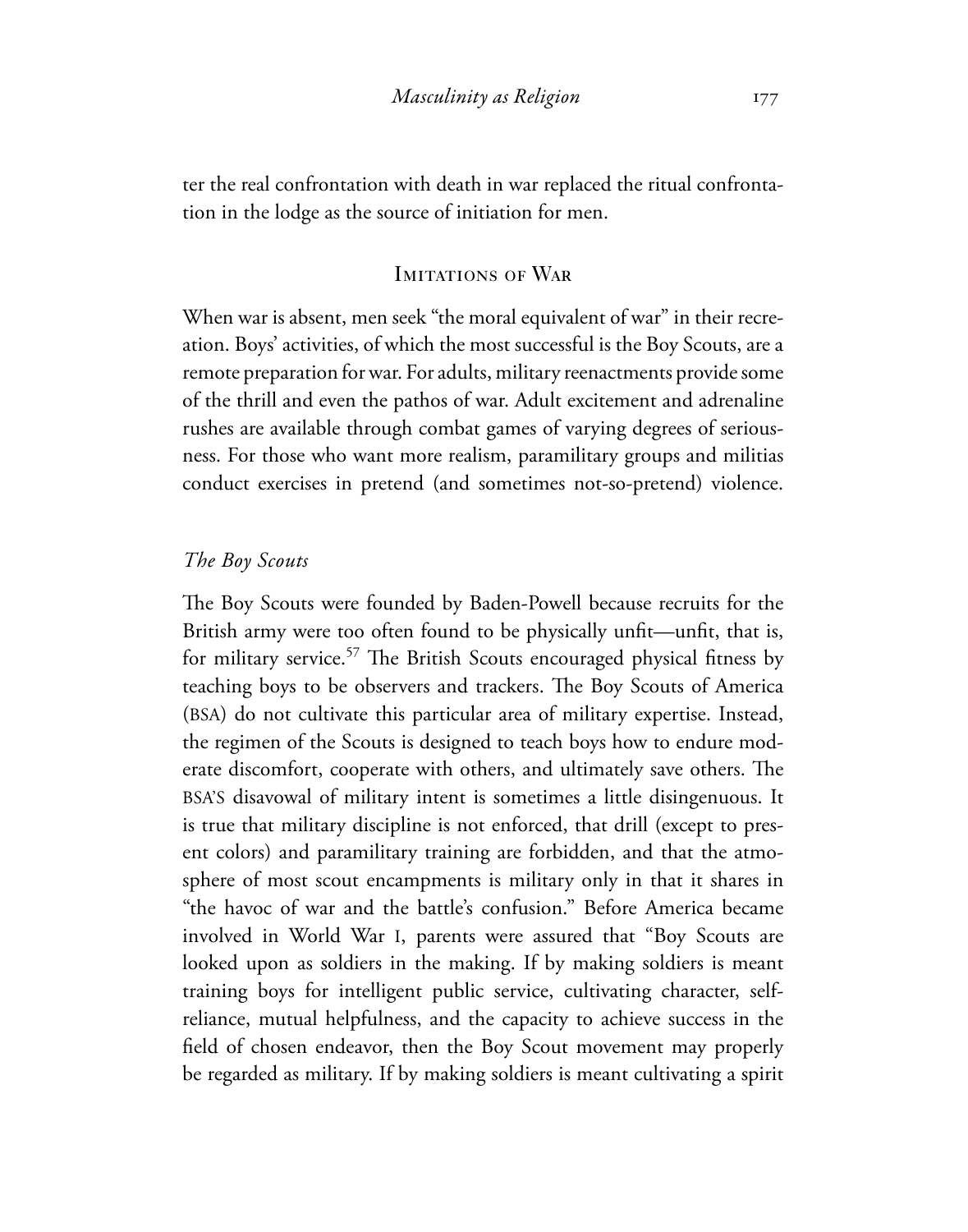ter the real confrontation with death in war replaced the ritual confrontation in the lodge as the source of initiation for men.

# Imitations of War

When war is absent, men seek "the moral equivalent of war" in their recreation. Boys' activities, of which the most successful is the Boy Scouts, are a remote preparation for war. For adults, military reenactments provide some of the thrill and even the pathos of war. Adult excitement and adrenaline rushes are available through combat games of varying degrees of seriousness. For those who want more realism, paramilitary groups and militias conduct exercises in pretend (and sometimes not-so-pretend) violence.

### *The Boy Scouts*

The Boy Scouts were founded by Baden-Powell because recruits for the British army were too often found to be physically unfit—unfit, that is, for military service.<sup>57</sup> The British Scouts encouraged physical fitness by teaching boys to be observers and trackers. The Boy Scouts of America (BSA) do not cultivate this particular area of military expertise. Instead, the regimen of the Scouts is designed to teach boys how to endure moderate discomfort, cooperate with others, and ultimately save others. The BSA'S disavowal of military intent is sometimes a little disingenuous. It is true that military discipline is not enforced, that drill (except to present colors) and paramilitary training are forbidden, and that the atmosphere of most scout encampments is military only in that it shares in "the havoc of war and the battle's confusion." Before America became involved in World War I, parents were assured that "Boy Scouts are looked upon as soldiers in the making. If by making soldiers is meant training boys for intelligent public service, cultivating character, selfreliance, mutual helpfulness, and the capacity to achieve success in the field of chosen endeavor, then the Boy Scout movement may properly be regarded as military. If by making soldiers is meant cultivating a spirit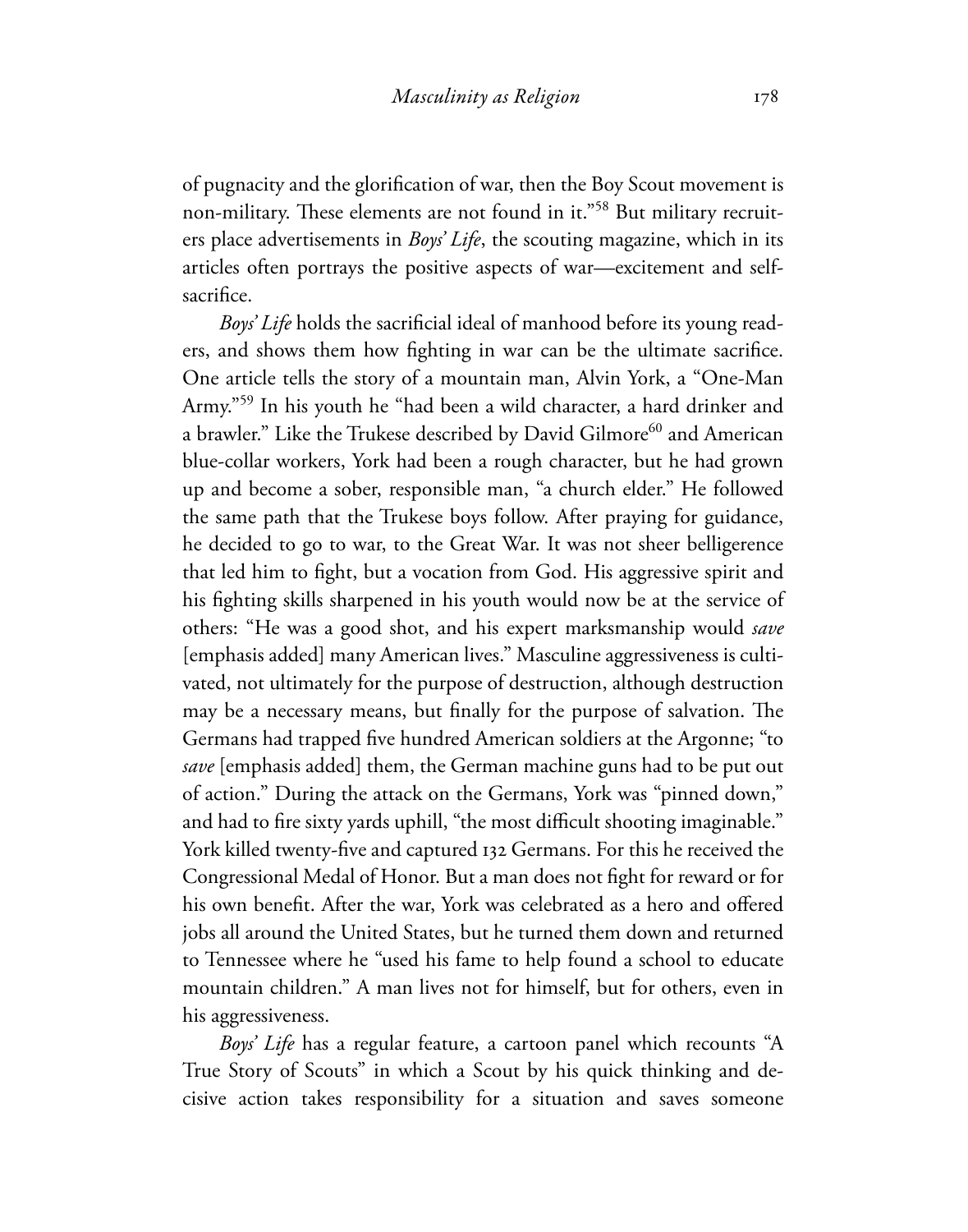of pugnacity and the glorification of war, then the Boy Scout movement is non-military. These elements are not found in it."58 But military recruiters place advertisements in *Boys' Life*, the scouting magazine, which in its articles often portrays the positive aspects of war—excitement and selfsacrifice.

*Boys' Life* holds the sacrificial ideal of manhood before its young readers, and shows them how fighting in war can be the ultimate sacrifice. One article tells the story of a mountain man, Alvin York, a "One-Man Army."59 In his youth he "had been a wild character, a hard drinker and a brawler." Like the Trukese described by David Gilmore<sup>60</sup> and American blue-collar workers, York had been a rough character, but he had grown up and become a sober, responsible man, "a church elder." He followed the same path that the Trukese boys follow. After praying for guidance, he decided to go to war, to the Great War. It was not sheer belligerence that led him to fight, but a vocation from God. His aggressive spirit and his fighting skills sharpened in his youth would now be at the service of others: "He was a good shot, and his expert marksmanship would *save* [emphasis added] many American lives." Masculine aggressiveness is cultivated, not ultimately for the purpose of destruction, although destruction may be a necessary means, but finally for the purpose of salvation. The Germans had trapped five hundred American soldiers at the Argonne; "to *save* [emphasis added] them, the German machine guns had to be put out of action." During the attack on the Germans, York was "pinned down," and had to fire sixty yards uphill, "the most difficult shooting imaginable." York killed twenty-five and captured 132 Germans. For this he received the Congressional Medal of Honor. But a man does not fight for reward or for his own benefit. After the war, York was celebrated as a hero and offered jobs all around the United States, but he turned them down and returned to Tennessee where he "used his fame to help found a school to educate mountain children." A man lives not for himself, but for others, even in his aggressiveness.

*Boys' Life* has a regular feature, a cartoon panel which recounts "A True Story of Scouts" in which a Scout by his quick thinking and decisive action takes responsibility for a situation and saves someone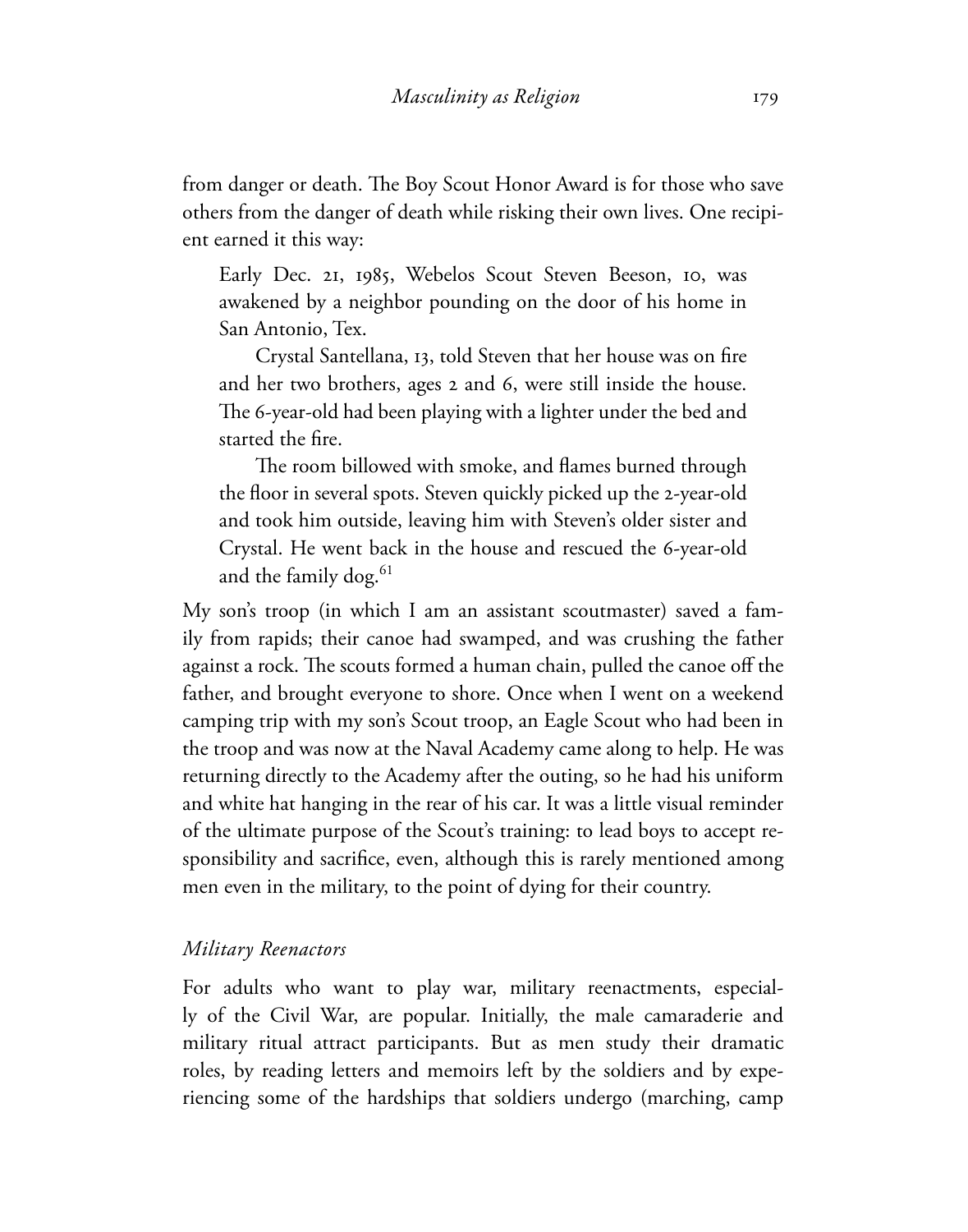from danger or death. The Boy Scout Honor Award is for those who save others from the danger of death while risking their own lives. One recipient earned it this way:

Early Dec. 21, 1985, Webelos Scout Steven Beeson, 10, was awakened by a neighbor pounding on the door of his home in San Antonio, Tex.

Crystal Santellana, 13, told Steven that her house was on fire and her two brothers, ages 2 and 6, were still inside the house. The 6-year-old had been playing with a lighter under the bed and started the fire.

The room billowed with smoke, and flames burned through the floor in several spots. Steven quickly picked up the 2-year-old and took him outside, leaving him with Steven's older sister and Crystal. He went back in the house and rescued the 6-year-old and the family dog.<sup>61</sup>

My son's troop (in which I am an assistant scoutmaster) saved a family from rapids; their canoe had swamped, and was crushing the father against a rock. The scouts formed a human chain, pulled the canoe off the father, and brought everyone to shore. Once when I went on a weekend camping trip with my son's Scout troop, an Eagle Scout who had been in the troop and was now at the Naval Academy came along to help. He was returning directly to the Academy after the outing, so he had his uniform and white hat hanging in the rear of his car. It was a little visual reminder of the ultimate purpose of the Scout's training: to lead boys to accept responsibility and sacrifice, even, although this is rarely mentioned among men even in the military, to the point of dying for their country.

#### *Military Reenactors*

For adults who want to play war, military reenactments, especially of the Civil War, are popular. Initially, the male camaraderie and military ritual attract participants. But as men study their dramatic roles, by reading letters and memoirs left by the soldiers and by experiencing some of the hardships that soldiers undergo (marching, camp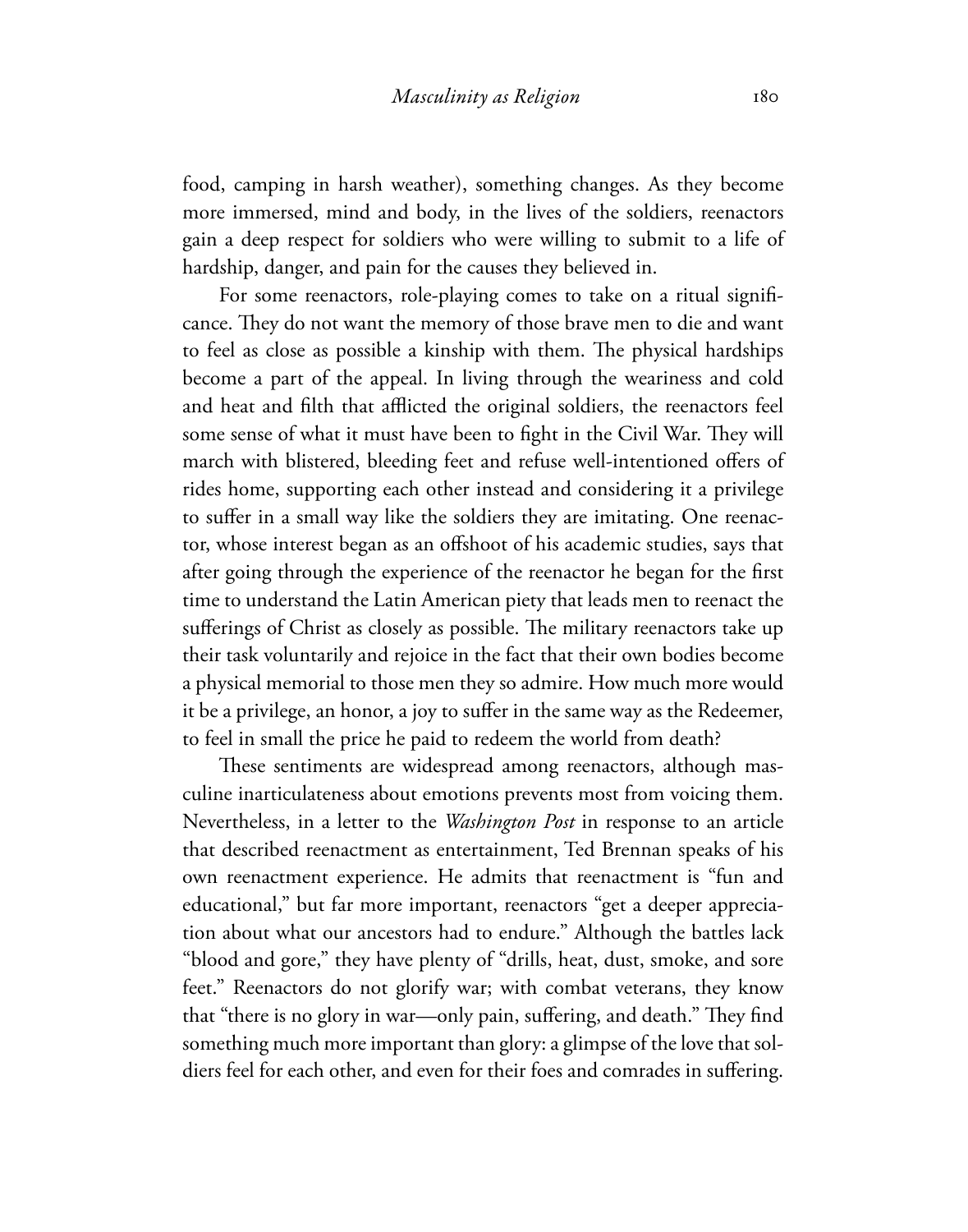food, camping in harsh weather), something changes. As they become more immersed, mind and body, in the lives of the soldiers, reenactors gain a deep respect for soldiers who were willing to submit to a life of hardship, danger, and pain for the causes they believed in.

For some reenactors, role-playing comes to take on a ritual significance. They do not want the memory of those brave men to die and want to feel as close as possible a kinship with them. The physical hardships become a part of the appeal. In living through the weariness and cold and heat and filth that afflicted the original soldiers, the reenactors feel some sense of what it must have been to fight in the Civil War. They will march with blistered, bleeding feet and refuse well-intentioned offers of rides home, supporting each other instead and considering it a privilege to suffer in a small way like the soldiers they are imitating. One reenactor, whose interest began as an offshoot of his academic studies, says that after going through the experience of the reenactor he began for the first time to understand the Latin American piety that leads men to reenact the sufferings of Christ as closely as possible. The military reenactors take up their task voluntarily and rejoice in the fact that their own bodies become a physical memorial to those men they so admire. How much more would it be a privilege, an honor, a joy to suffer in the same way as the Redeemer, to feel in small the price he paid to redeem the world from death?

These sentiments are widespread among reenactors, although masculine inarticulateness about emotions prevents most from voicing them. Nevertheless, in a letter to the *Washington Post* in response to an article that described reenactment as entertainment, Ted Brennan speaks of his own reenactment experience. He admits that reenactment is "fun and educational," but far more important, reenactors "get a deeper appreciation about what our ancestors had to endure." Although the battles lack "blood and gore," they have plenty of "drills, heat, dust, smoke, and sore feet." Reenactors do not glorify war; with combat veterans, they know that "there is no glory in war—only pain, suffering, and death." They find something much more important than glory: a glimpse of the love that soldiers feel for each other, and even for their foes and comrades in suffering.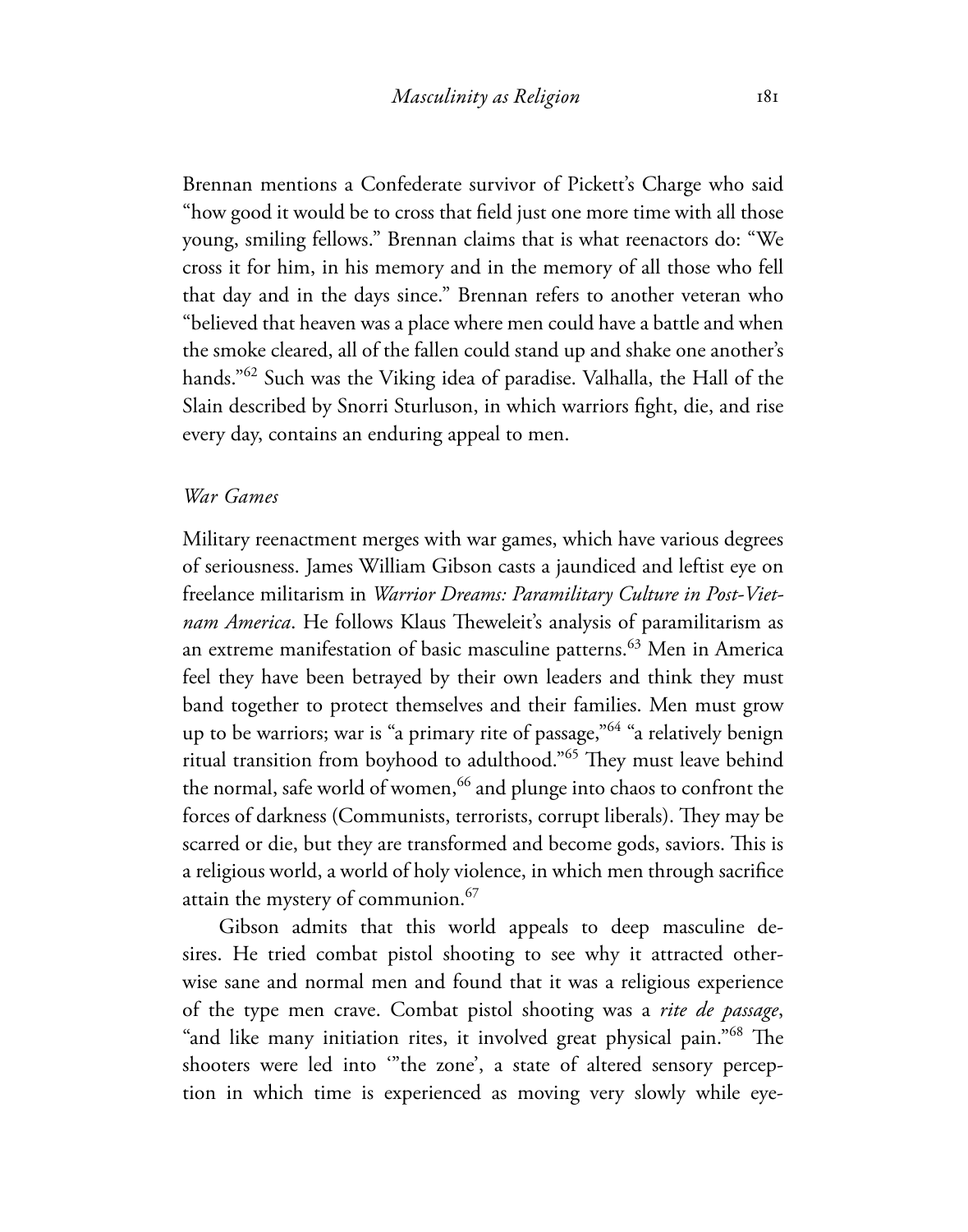Brennan mentions a Confederate survivor of Pickett's Charge who said "how good it would be to cross that field just one more time with all those young, smiling fellows." Brennan claims that is what reenactors do: "We cross it for him, in his memory and in the memory of all those who fell that day and in the days since." Brennan refers to another veteran who "believed that heaven was a place where men could have a battle and when the smoke cleared, all of the fallen could stand up and shake one another's hands."62 Such was the Viking idea of paradise. Valhalla, the Hall of the Slain described by Snorri Sturluson, in which warriors fight, die, and rise every day, contains an enduring appeal to men.

## *War Games*

Military reenactment merges with war games, which have various degrees of seriousness. James William Gibson casts a jaundiced and leftist eye on freelance militarism in *Warrior Dreams: Paramilitary Culture in Post-Vietnam America*. He follows Klaus Theweleit's analysis of paramilitarism as an extreme manifestation of basic masculine patterns.<sup>63</sup> Men in America feel they have been betrayed by their own leaders and think they must band together to protect themselves and their families. Men must grow up to be warriors; war is "a primary rite of passage,"64 "a relatively benign ritual transition from boyhood to adulthood."65 They must leave behind the normal, safe world of women,<sup>66</sup> and plunge into chaos to confront the forces of darkness (Communists, terrorists, corrupt liberals). They may be scarred or die, but they are transformed and become gods, saviors. This is a religious world, a world of holy violence, in which men through sacrifice attain the mystery of communion.<sup>67</sup>

Gibson admits that this world appeals to deep masculine desires. He tried combat pistol shooting to see why it attracted otherwise sane and normal men and found that it was a religious experience of the type men crave. Combat pistol shooting was a *rite de passage*, "and like many initiation rites, it involved great physical pain."68 The shooters were led into '"the zone', a state of altered sensory perception in which time is experienced as moving very slowly while eye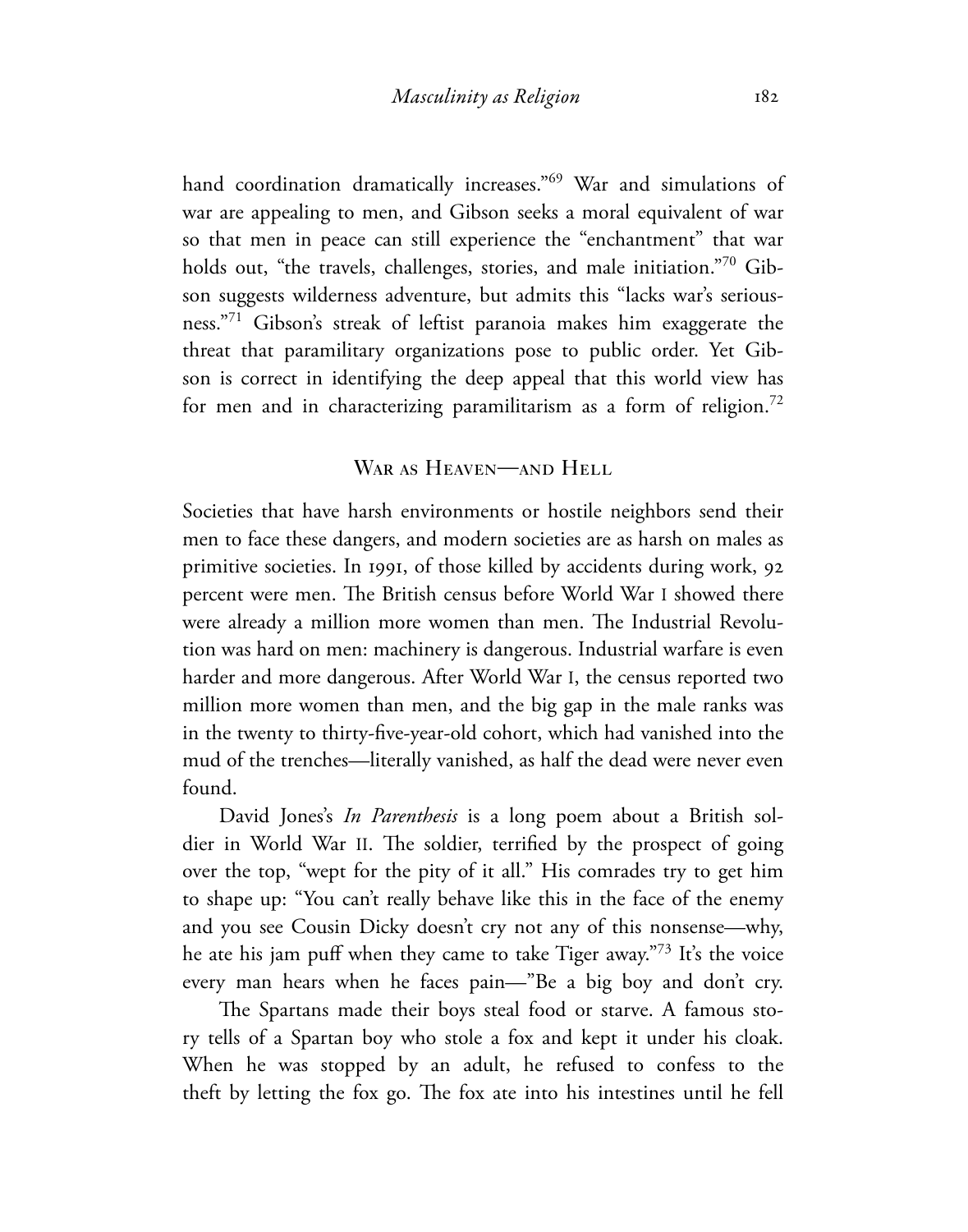hand coordination dramatically increases."69 War and simulations of war are appealing to men, and Gibson seeks a moral equivalent of war so that men in peace can still experience the "enchantment" that war holds out, "the travels, challenges, stories, and male initiation."<sup>70</sup> Gibson suggests wilderness adventure, but admits this "lacks war's seriousness."71 Gibson's streak of leftist paranoia makes him exaggerate the threat that paramilitary organizations pose to public order. Yet Gibson is correct in identifying the deep appeal that this world view has for men and in characterizing paramilitarism as a form of religion.<sup>72</sup>

## War as Heaven—and Hell

Societies that have harsh environments or hostile neighbors send their men to face these dangers, and modern societies are as harsh on males as primitive societies. In 1991, of those killed by accidents during work, 92 percent were men. The British census before World War I showed there were already a million more women than men. The Industrial Revolution was hard on men: machinery is dangerous. Industrial warfare is even harder and more dangerous. After World War I, the census reported two million more women than men, and the big gap in the male ranks was in the twenty to thirty-five-year-old cohort, which had vanished into the mud of the trenches—literally vanished, as half the dead were never even found.

David Jones's *In Parenthesis* is a long poem about a British soldier in World War II. The soldier, terrified by the prospect of going over the top, "wept for the pity of it all." His comrades try to get him to shape up: "You can't really behave like this in the face of the enemy and you see Cousin Dicky doesn't cry not any of this nonsense—why, he ate his jam puff when they came to take Tiger away."73 It's the voice every man hears when he faces pain—"Be a big boy and don't cry.

The Spartans made their boys steal food or starve. A famous story tells of a Spartan boy who stole a fox and kept it under his cloak. When he was stopped by an adult, he refused to confess to the theft by letting the fox go. The fox ate into his intestines until he fell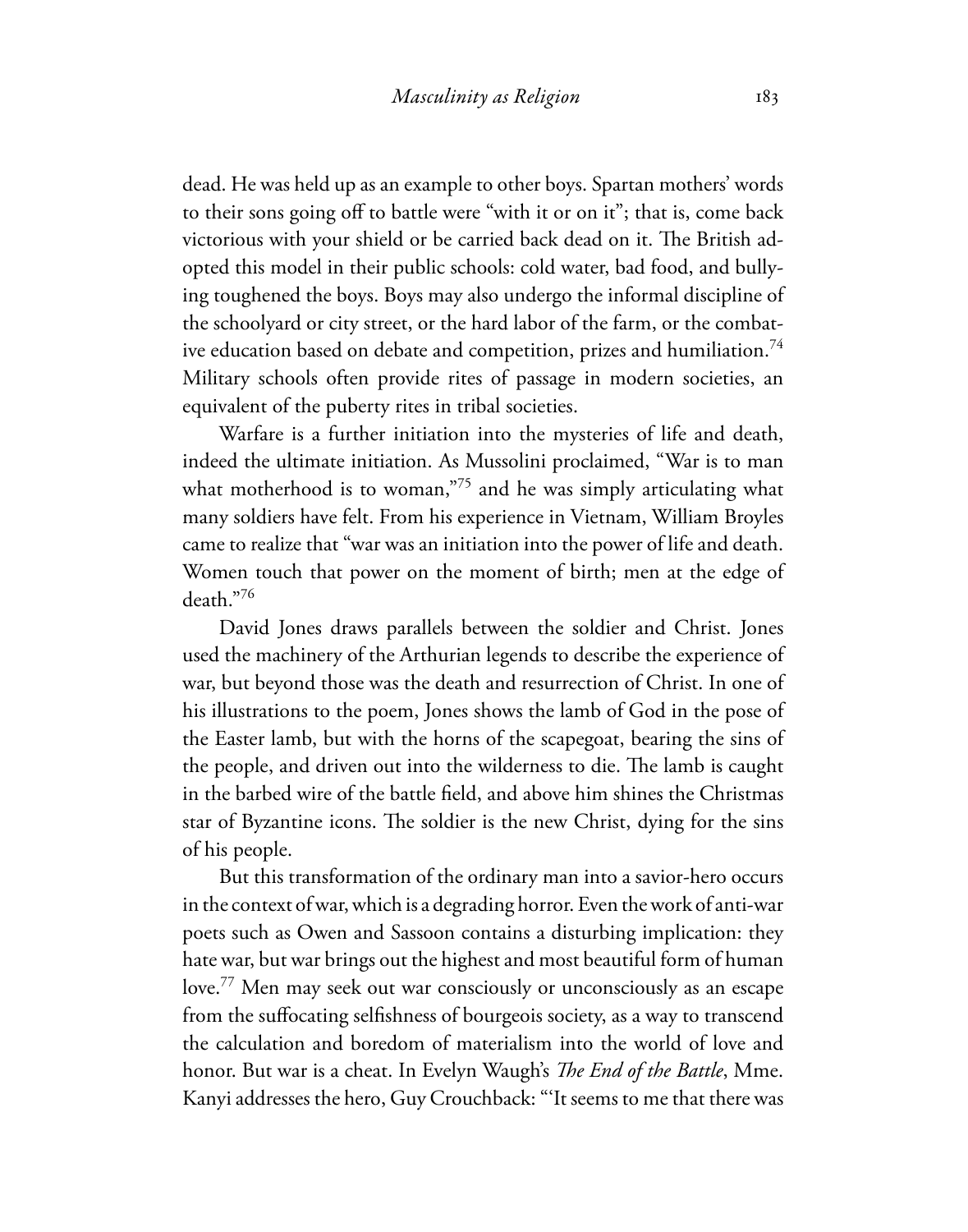dead. He was held up as an example to other boys. Spartan mothers' words to their sons going off to battle were "with it or on it"; that is, come back victorious with your shield or be carried back dead on it. The British adopted this model in their public schools: cold water, bad food, and bullying toughened the boys. Boys may also undergo the informal discipline of the schoolyard or city street, or the hard labor of the farm, or the combative education based on debate and competition, prizes and humiliation.<sup>74</sup> Military schools often provide rites of passage in modern societies, an equivalent of the puberty rites in tribal societies.

Warfare is a further initiation into the mysteries of life and death, indeed the ultimate initiation. As Mussolini proclaimed, "War is to man what motherhood is to woman,"<sup>75</sup> and he was simply articulating what many soldiers have felt. From his experience in Vietnam, William Broyles came to realize that "war was an initiation into the power of life and death. Women touch that power on the moment of birth; men at the edge of death."76

David Jones draws parallels between the soldier and Christ. Jones used the machinery of the Arthurian legends to describe the experience of war, but beyond those was the death and resurrection of Christ. In one of his illustrations to the poem, Jones shows the lamb of God in the pose of the Easter lamb, but with the horns of the scapegoat, bearing the sins of the people, and driven out into the wilderness to die. The lamb is caught in the barbed wire of the battle field, and above him shines the Christmas star of Byzantine icons. The soldier is the new Christ, dying for the sins of his people.

But this transformation of the ordinary man into a savior-hero occurs in the context of war, which is a degrading horror. Even the work of anti-war poets such as Owen and Sassoon contains a disturbing implication: they hate war, but war brings out the highest and most beautiful form of human love.<sup>77</sup> Men may seek out war consciously or unconsciously as an escape from the suffocating selfishness of bourgeois society, as a way to transcend the calculation and boredom of materialism into the world of love and honor. But war is a cheat. In Evelyn Waugh's *The End of the Battle*, Mme. Kanyi addresses the hero, Guy Crouchback: "'It seems to me that there was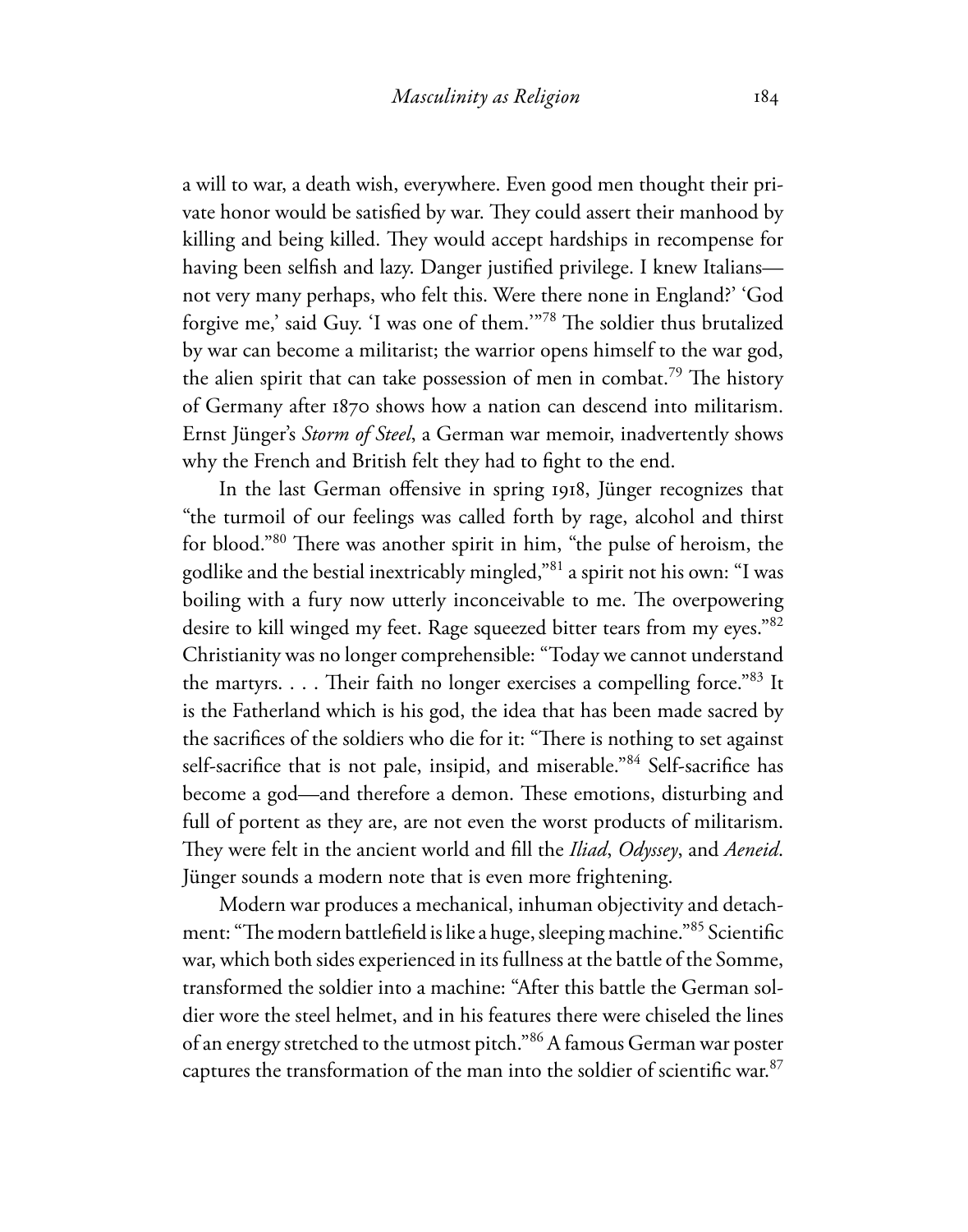a will to war, a death wish, everywhere. Even good men thought their private honor would be satisfied by war. They could assert their manhood by killing and being killed. They would accept hardships in recompense for having been selfish and lazy. Danger justified privilege. I knew Italians not very many perhaps, who felt this. Were there none in England?' 'God forgive me,' said Guy. 'I was one of them.'"78 The soldier thus brutalized by war can become a militarist; the warrior opens himself to the war god, the alien spirit that can take possession of men in combat.<sup>79</sup> The history of Germany after 870 shows how a nation can descend into militarism. Ernst Jünger's *Storm of Steel*, a German war memoir, inadvertently shows why the French and British felt they had to fight to the end.

In the last German offensive in spring 1918, Jünger recognizes that "the turmoil of our feelings was called forth by rage, alcohol and thirst for blood."80 There was another spirit in him, "the pulse of heroism, the godlike and the bestial inextricably mingled,"81 a spirit not his own: "I was boiling with a fury now utterly inconceivable to me. The overpowering desire to kill winged my feet. Rage squeezed bitter tears from my eyes."82 Christianity was no longer comprehensible: "Today we cannot understand the martyrs.  $\dots$  Their faith no longer exercises a compelling force.<sup>83</sup> It is the Fatherland which is his god, the idea that has been made sacred by the sacrifices of the soldiers who die for it: "There is nothing to set against self-sacrifice that is not pale, insipid, and miserable."<sup>84</sup> Self-sacrifice has become a god—and therefore a demon. These emotions, disturbing and full of portent as they are, are not even the worst products of militarism. They were felt in the ancient world and fill the *Iliad*, *Odyssey*, and *Aeneid*. Jünger sounds a modern note that is even more frightening.

Modern war produces a mechanical, inhuman objectivity and detachment: "The modern battlefield is like a huge, sleeping machine."85 Scientific war, which both sides experienced in its fullness at the battle of the Somme, transformed the soldier into a machine: "After this battle the German soldier wore the steel helmet, and in his features there were chiseled the lines of an energy stretched to the utmost pitch."86 A famous German war poster captures the transformation of the man into the soldier of scientific war. $87$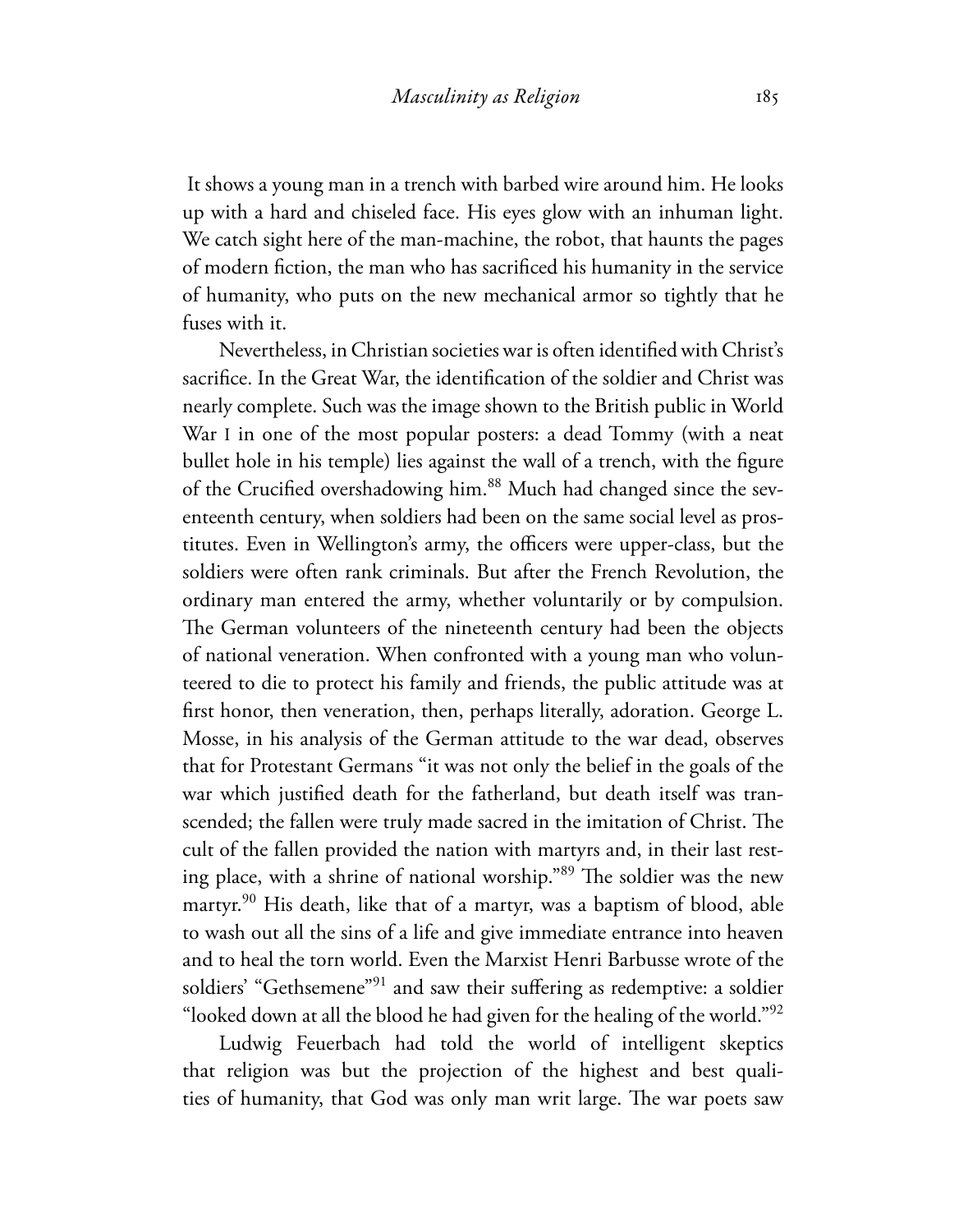It shows a young man in a trench with barbed wire around him. He looks up with a hard and chiseled face. His eyes glow with an inhuman light. We catch sight here of the man-machine, the robot, that haunts the pages of modern fiction, the man who has sacrificed his humanity in the service of humanity, who puts on the new mechanical armor so tightly that he fuses with it.

Nevertheless, in Christian societies war is often identified with Christ's sacrifice. In the Great War, the identification of the soldier and Christ was nearly complete. Such was the image shown to the British public in World War I in one of the most popular posters: a dead Tommy (with a neat bullet hole in his temple) lies against the wall of a trench, with the figure of the Crucified overshadowing him.<sup>88</sup> Much had changed since the seventeenth century, when soldiers had been on the same social level as prostitutes. Even in Wellington's army, the officers were upper-class, but the soldiers were often rank criminals. But after the French Revolution, the ordinary man entered the army, whether voluntarily or by compulsion. The German volunteers of the nineteenth century had been the objects of national veneration. When confronted with a young man who volunteered to die to protect his family and friends, the public attitude was at first honor, then veneration, then, perhaps literally, adoration. George L. Mosse, in his analysis of the German attitude to the war dead, observes that for Protestant Germans "it was not only the belief in the goals of the war which justified death for the fatherland, but death itself was transcended; the fallen were truly made sacred in the imitation of Christ. The cult of the fallen provided the nation with martyrs and, in their last resting place, with a shrine of national worship."89 The soldier was the new martyr.<sup>90</sup> His death, like that of a martyr, was a baptism of blood, able to wash out all the sins of a life and give immediate entrance into heaven and to heal the torn world. Even the Marxist Henri Barbusse wrote of the soldiers' "Gethsemene"<sup>91</sup> and saw their suffering as redemptive: a soldier "looked down at all the blood he had given for the healing of the world." $92$ 

Ludwig Feuerbach had told the world of intelligent skeptics that religion was but the projection of the highest and best qualities of humanity, that God was only man writ large. The war poets saw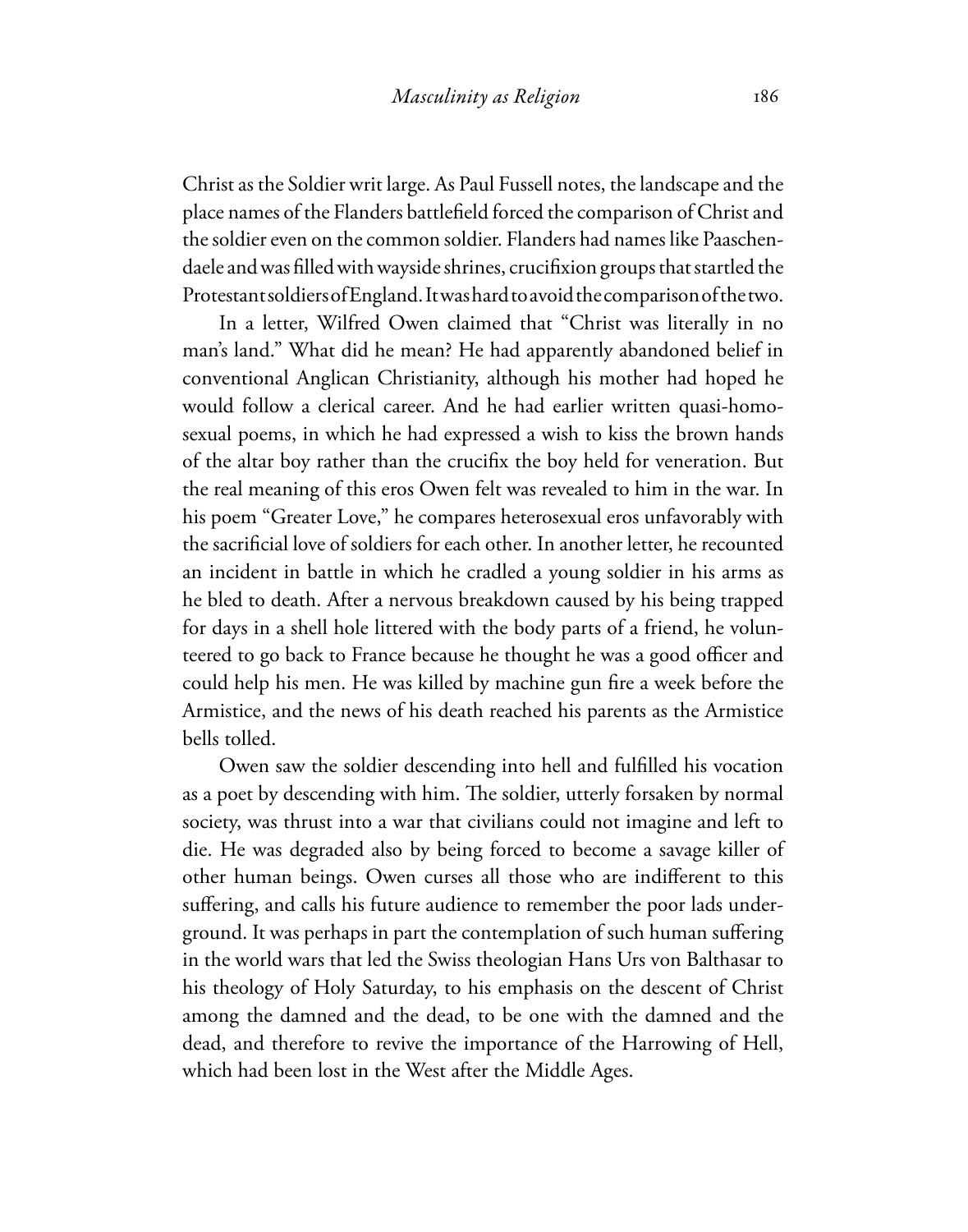Christ as the Soldier writ large. As Paul Fussell notes, the landscape and the place names of the Flanders battlefield forced the comparison of Christ and the soldier even on the common soldier. Flanders had names like Paaschendaele and was filled with wayside shrines, crucifixion groups that startled the Protestant soldiers of England. It was hard to avoid the comparison of the two.

In a letter, Wilfred Owen claimed that "Christ was literally in no man's land." What did he mean? He had apparently abandoned belief in conventional Anglican Christianity, although his mother had hoped he would follow a clerical career. And he had earlier written quasi-homosexual poems, in which he had expressed a wish to kiss the brown hands of the altar boy rather than the crucifix the boy held for veneration. But the real meaning of this eros Owen felt was revealed to him in the war. In his poem "Greater Love," he compares heterosexual eros unfavorably with the sacrificial love of soldiers for each other. In another letter, he recounted an incident in battle in which he cradled a young soldier in his arms as he bled to death. After a nervous breakdown caused by his being trapped for days in a shell hole littered with the body parts of a friend, he volunteered to go back to France because he thought he was a good officer and could help his men. He was killed by machine gun fire a week before the Armistice, and the news of his death reached his parents as the Armistice bells tolled.

Owen saw the soldier descending into hell and fulfilled his vocation as a poet by descending with him. The soldier, utterly forsaken by normal society, was thrust into a war that civilians could not imagine and left to die. He was degraded also by being forced to become a savage killer of other human beings. Owen curses all those who are indifferent to this suffering, and calls his future audience to remember the poor lads underground. It was perhaps in part the contemplation of such human suffering in the world wars that led the Swiss theologian Hans Urs von Balthasar to his theology of Holy Saturday, to his emphasis on the descent of Christ among the damned and the dead, to be one with the damned and the dead, and therefore to revive the importance of the Harrowing of Hell, which had been lost in the West after the Middle Ages.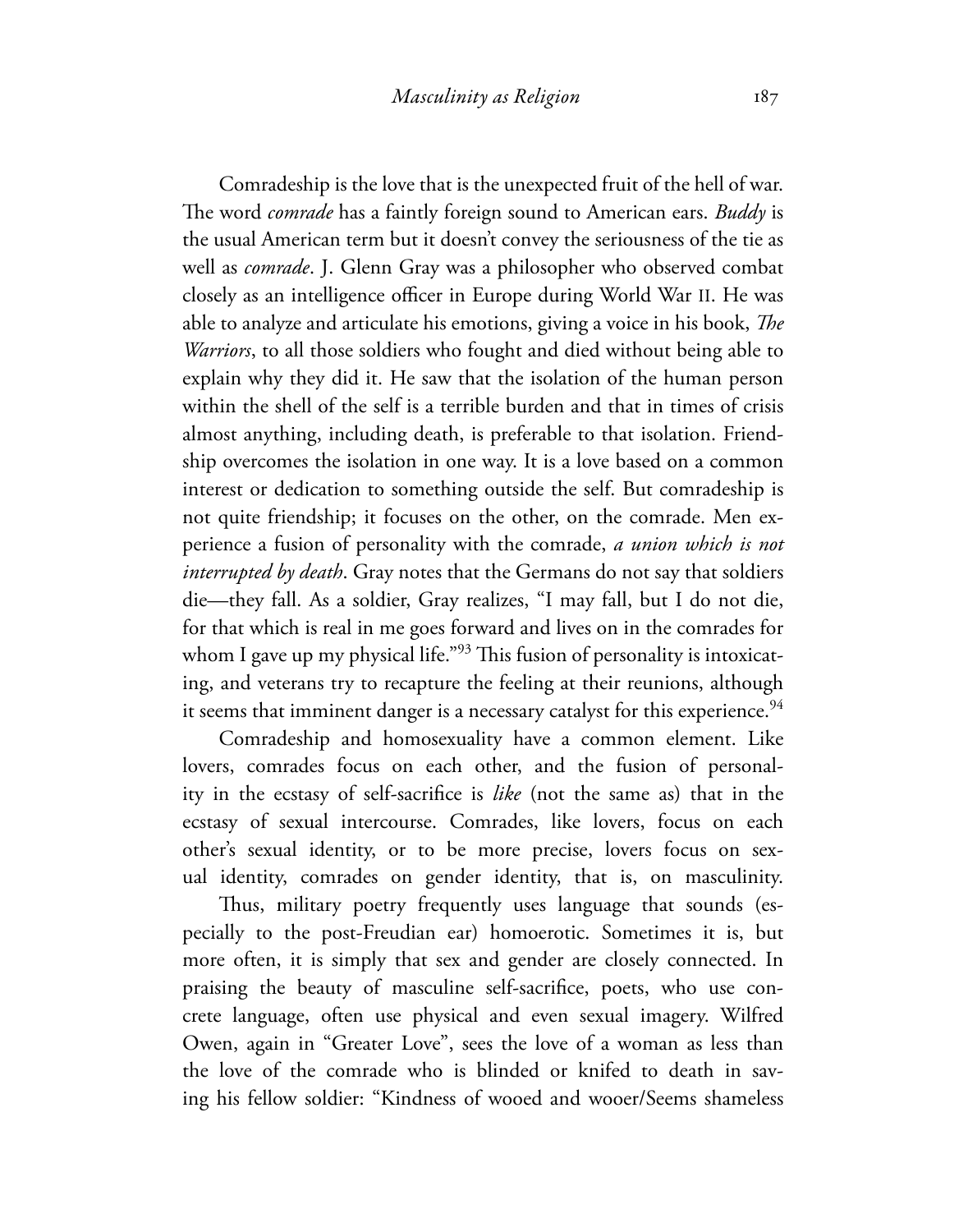Comradeship is the love that is the unexpected fruit of the hell of war. The word *comrade* has a faintly foreign sound to American ears. *Buddy* is the usual American term but it doesn't convey the seriousness of the tie as well as *comrade*. J. Glenn Gray was a philosopher who observed combat closely as an intelligence officer in Europe during World War II. He was able to analyze and articulate his emotions, giving a voice in his book, *The Warriors*, to all those soldiers who fought and died without being able to explain why they did it. He saw that the isolation of the human person within the shell of the self is a terrible burden and that in times of crisis almost anything, including death, is preferable to that isolation. Friendship overcomes the isolation in one way. It is a love based on a common interest or dedication to something outside the self. But comradeship is not quite friendship; it focuses on the other, on the comrade. Men experience a fusion of personality with the comrade, *a union which is not interrupted by death*. Gray notes that the Germans do not say that soldiers die—they fall. As a soldier, Gray realizes, "I may fall, but I do not die, for that which is real in me goes forward and lives on in the comrades for whom I gave up my physical life."<sup>93</sup> This fusion of personality is intoxicating, and veterans try to recapture the feeling at their reunions, although it seems that imminent danger is a necessary catalyst for this experience.<sup>94</sup>

Comradeship and homosexuality have a common element. Like lovers, comrades focus on each other, and the fusion of personality in the ecstasy of self-sacrifice is *like* (not the same as) that in the ecstasy of sexual intercourse. Comrades, like lovers, focus on each other's sexual identity, or to be more precise, lovers focus on sexual identity, comrades on gender identity, that is, on masculinity.

Thus, military poetry frequently uses language that sounds (especially to the post-Freudian ear) homoerotic. Sometimes it is, but more often, it is simply that sex and gender are closely connected. In praising the beauty of masculine self-sacrifice, poets, who use concrete language, often use physical and even sexual imagery. Wilfred Owen, again in "Greater Love", sees the love of a woman as less than the love of the comrade who is blinded or knifed to death in saving his fellow soldier: "Kindness of wooed and wooer/Seems shameless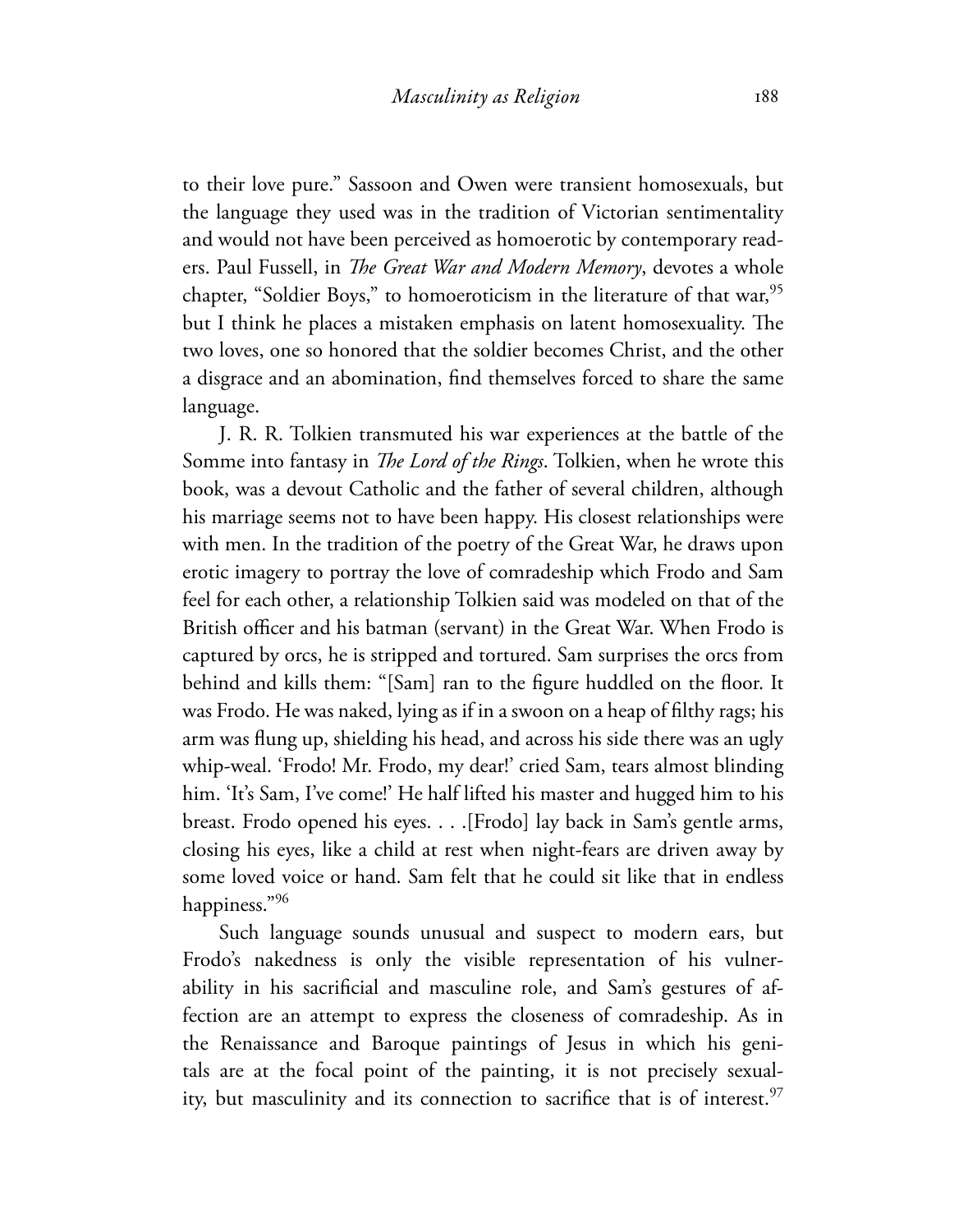to their love pure." Sassoon and Owen were transient homosexuals, but the language they used was in the tradition of Victorian sentimentality and would not have been perceived as homoerotic by contemporary readers. Paul Fussell, in *The Great War and Modern Memory*, devotes a whole chapter, "Soldier Boys," to homoeroticism in the literature of that war,<sup>95</sup> but I think he places a mistaken emphasis on latent homosexuality. The two loves, one so honored that the soldier becomes Christ, and the other a disgrace and an abomination, find themselves forced to share the same language.

J. R. R. Tolkien transmuted his war experiences at the battle of the Somme into fantasy in *The Lord of the Rings*. Tolkien, when he wrote this book, was a devout Catholic and the father of several children, although his marriage seems not to have been happy. His closest relationships were with men. In the tradition of the poetry of the Great War, he draws upon erotic imagery to portray the love of comradeship which Frodo and Sam feel for each other, a relationship Tolkien said was modeled on that of the British officer and his batman (servant) in the Great War. When Frodo is captured by orcs, he is stripped and tortured. Sam surprises the orcs from behind and kills them: "[Sam] ran to the figure huddled on the floor. It was Frodo. He was naked, lying as if in a swoon on a heap of filthy rags; his arm was flung up, shielding his head, and across his side there was an ugly whip-weal. 'Frodo! Mr. Frodo, my dear!' cried Sam, tears almost blinding him. 'It's Sam, I've come!' He half lifted his master and hugged him to his breast. Frodo opened his eyes. . . .[Frodo] lay back in Sam's gentle arms, closing his eyes, like a child at rest when night-fears are driven away by some loved voice or hand. Sam felt that he could sit like that in endless happiness."96

Such language sounds unusual and suspect to modern ears, but Frodo's nakedness is only the visible representation of his vulnerability in his sacrificial and masculine role, and Sam's gestures of affection are an attempt to express the closeness of comradeship. As in the Renaissance and Baroque paintings of Jesus in which his genitals are at the focal point of the painting, it is not precisely sexuality, but masculinity and its connection to sacrifice that is of interest.  $97$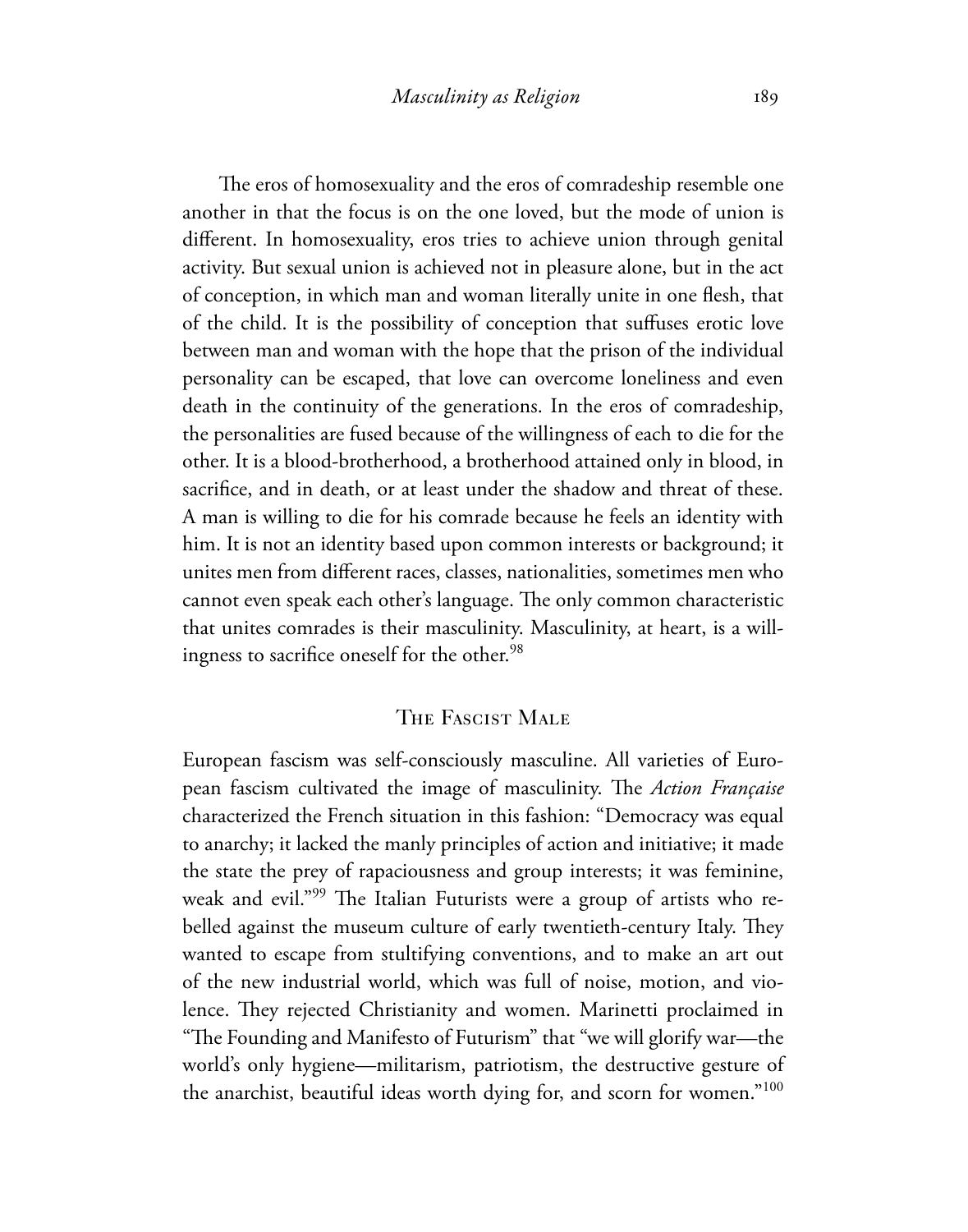The eros of homosexuality and the eros of comradeship resemble one another in that the focus is on the one loved, but the mode of union is different. In homosexuality, eros tries to achieve union through genital activity. But sexual union is achieved not in pleasure alone, but in the act of conception, in which man and woman literally unite in one flesh, that of the child. It is the possibility of conception that suffuses erotic love between man and woman with the hope that the prison of the individual personality can be escaped, that love can overcome loneliness and even death in the continuity of the generations. In the eros of comradeship, the personalities are fused because of the willingness of each to die for the other. It is a blood-brotherhood, a brotherhood attained only in blood, in sacrifice, and in death, or at least under the shadow and threat of these. A man is willing to die for his comrade because he feels an identity with him. It is not an identity based upon common interests or background; it unites men from different races, classes, nationalities, sometimes men who cannot even speak each other's language. The only common characteristic that unites comrades is their masculinity. Masculinity, at heart, is a willingness to sacrifice oneself for the other.<sup>98</sup>

# The Fascist Male

European fascism was self-consciously masculine. All varieties of European fascism cultivated the image of masculinity. The *Action Française* characterized the French situation in this fashion: "Democracy was equal to anarchy; it lacked the manly principles of action and initiative; it made the state the prey of rapaciousness and group interests; it was feminine, weak and evil."99 The Italian Futurists were a group of artists who rebelled against the museum culture of early twentieth-century Italy. They wanted to escape from stultifying conventions, and to make an art out of the new industrial world, which was full of noise, motion, and violence. They rejected Christianity and women. Marinetti proclaimed in "The Founding and Manifesto of Futurism" that "we will glorify war—the world's only hygiene—militarism, patriotism, the destructive gesture of the anarchist, beautiful ideas worth dying for, and scorn for women."<sup>100</sup>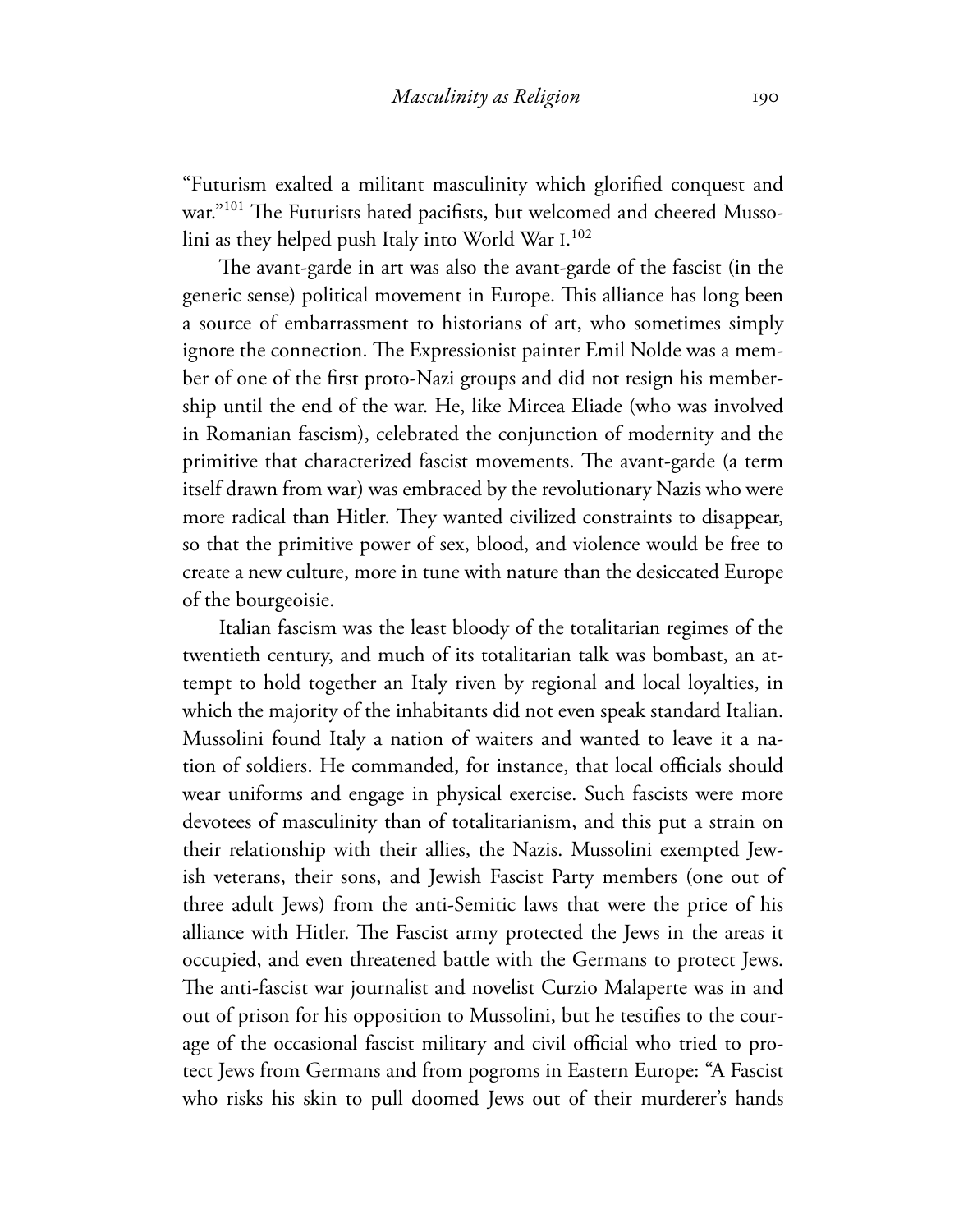"Futurism exalted a militant masculinity which glorified conquest and war."<sup>101</sup> The Futurists hated pacifists, but welcomed and cheered Mussolini as they helped push Italy into World War I. 102

The avant-garde in art was also the avant-garde of the fascist (in the generic sense) political movement in Europe. This alliance has long been a source of embarrassment to historians of art, who sometimes simply ignore the connection. The Expressionist painter Emil Nolde was a member of one of the first proto-Nazi groups and did not resign his membership until the end of the war. He, like Mircea Eliade (who was involved in Romanian fascism), celebrated the conjunction of modernity and the primitive that characterized fascist movements. The avant-garde (a term itself drawn from war) was embraced by the revolutionary Nazis who were more radical than Hitler. They wanted civilized constraints to disappear, so that the primitive power of sex, blood, and violence would be free to create a new culture, more in tune with nature than the desiccated Europe of the bourgeoisie.

Italian fascism was the least bloody of the totalitarian regimes of the twentieth century, and much of its totalitarian talk was bombast, an attempt to hold together an Italy riven by regional and local loyalties, in which the majority of the inhabitants did not even speak standard Italian. Mussolini found Italy a nation of waiters and wanted to leave it a nation of soldiers. He commanded, for instance, that local officials should wear uniforms and engage in physical exercise. Such fascists were more devotees of masculinity than of totalitarianism, and this put a strain on their relationship with their allies, the Nazis. Mussolini exempted Jewish veterans, their sons, and Jewish Fascist Party members (one out of three adult Jews) from the anti-Semitic laws that were the price of his alliance with Hitler. The Fascist army protected the Jews in the areas it occupied, and even threatened battle with the Germans to protect Jews. The anti-fascist war journalist and novelist Curzio Malaperte was in and out of prison for his opposition to Mussolini, but he testifies to the courage of the occasional fascist military and civil official who tried to protect Jews from Germans and from pogroms in Eastern Europe: "A Fascist who risks his skin to pull doomed Jews out of their murderer's hands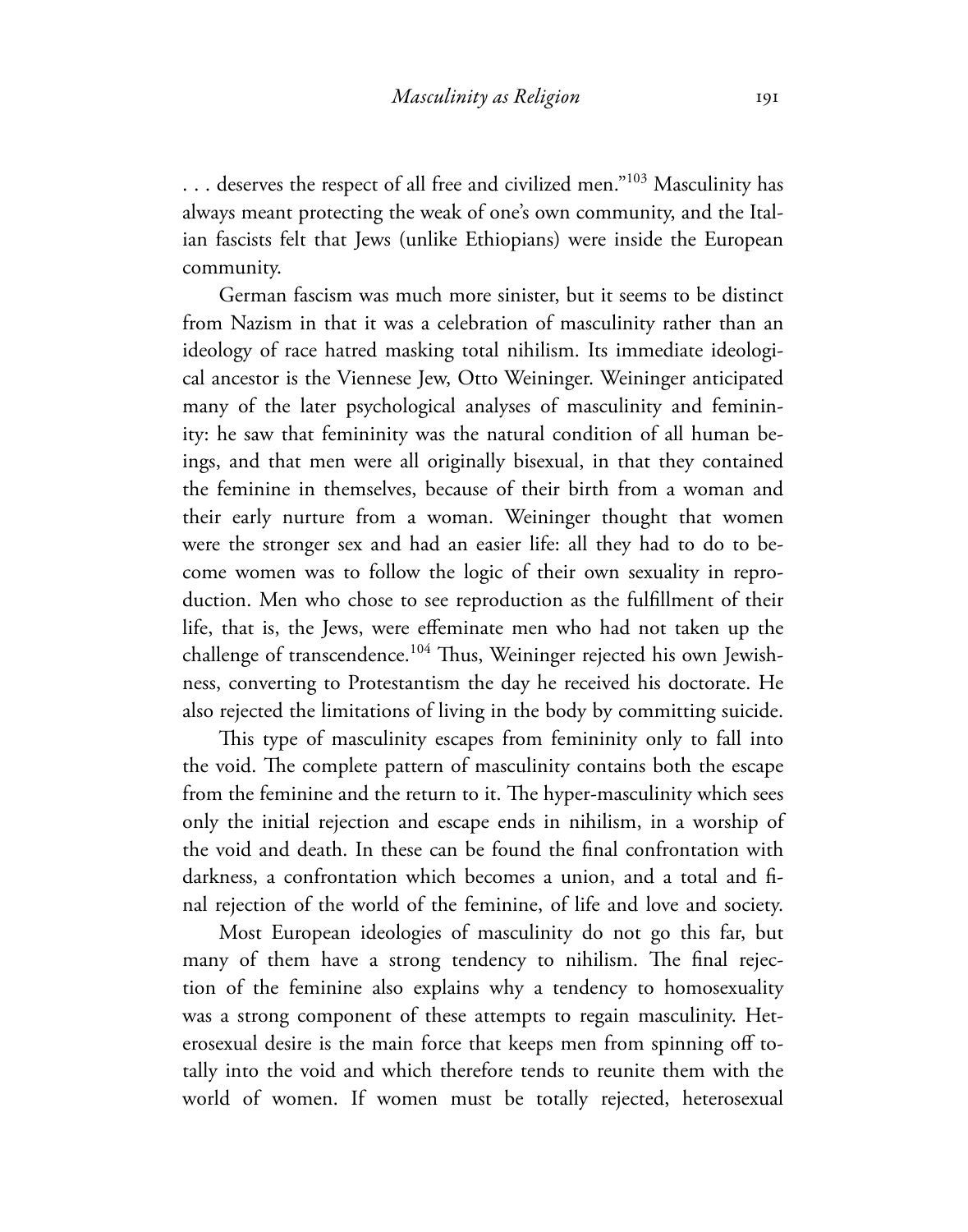. . . deserves the respect of all free and civilized men."103 Masculinity has always meant protecting the weak of one's own community, and the Italian fascists felt that Jews (unlike Ethiopians) were inside the European community.

German fascism was much more sinister, but it seems to be distinct from Nazism in that it was a celebration of masculinity rather than an ideology of race hatred masking total nihilism. Its immediate ideological ancestor is the Viennese Jew, Otto Weininger. Weininger anticipated many of the later psychological analyses of masculinity and femininity: he saw that femininity was the natural condition of all human beings, and that men were all originally bisexual, in that they contained the feminine in themselves, because of their birth from a woman and their early nurture from a woman. Weininger thought that women were the stronger sex and had an easier life: all they had to do to become women was to follow the logic of their own sexuality in reproduction. Men who chose to see reproduction as the fulfillment of their life, that is, the Jews, were effeminate men who had not taken up the challenge of transcendence.<sup>104</sup> Thus, Weininger rejected his own Jewishness, converting to Protestantism the day he received his doctorate. He also rejected the limitations of living in the body by committing suicide.

This type of masculinity escapes from femininity only to fall into the void. The complete pattern of masculinity contains both the escape from the feminine and the return to it. The hyper-masculinity which sees only the initial rejection and escape ends in nihilism, in a worship of the void and death. In these can be found the final confrontation with darkness, a confrontation which becomes a union, and a total and final rejection of the world of the feminine, of life and love and society.

Most European ideologies of masculinity do not go this far, but many of them have a strong tendency to nihilism. The final rejection of the feminine also explains why a tendency to homosexuality was a strong component of these attempts to regain masculinity. Heterosexual desire is the main force that keeps men from spinning off totally into the void and which therefore tends to reunite them with the world of women. If women must be totally rejected, heterosexual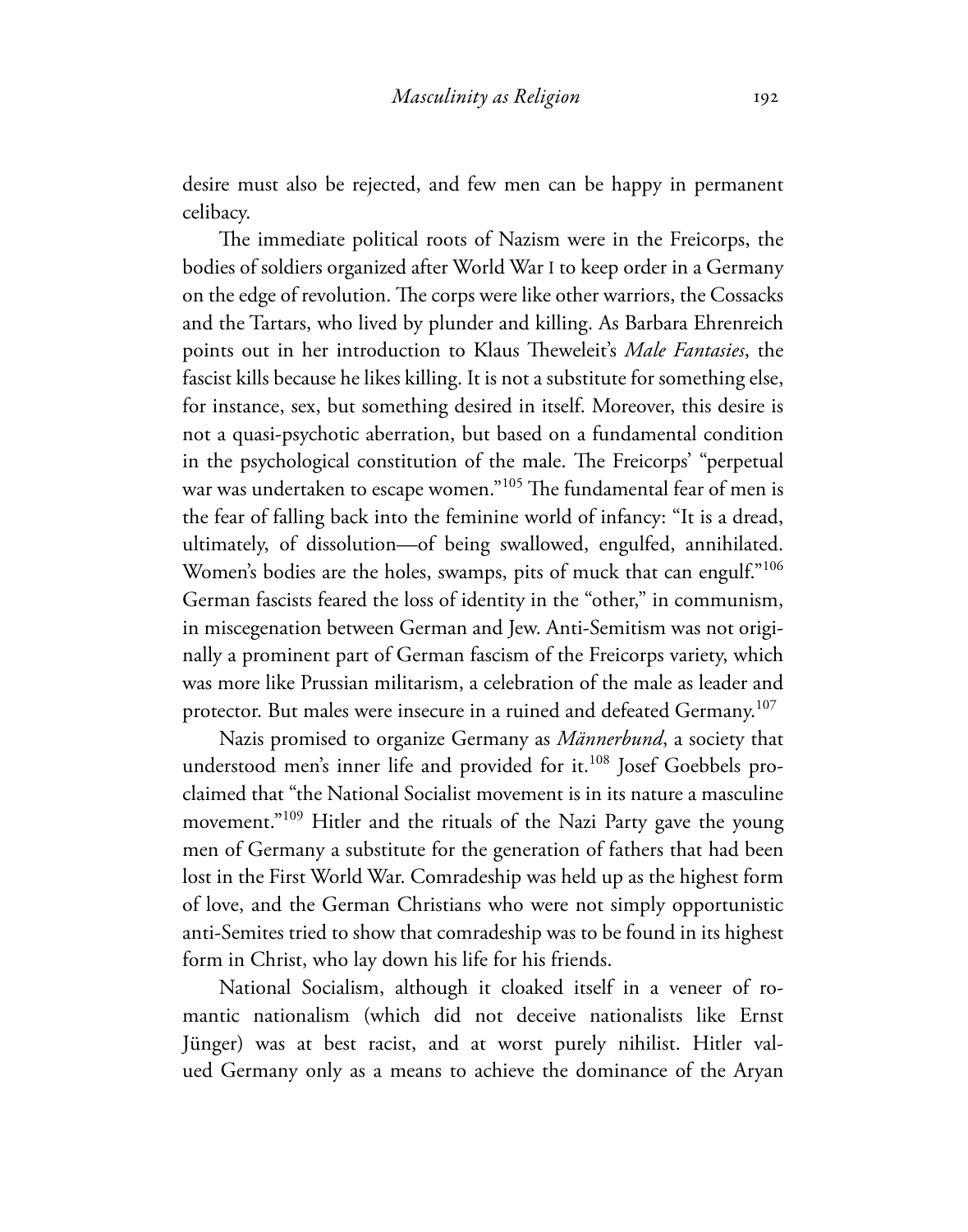desire must also be rejected, and few men can be happy in permanent celibacy.

The immediate political roots of Nazism were in the Freicorps, the bodies of soldiers organized after World War I to keep order in a Germany on the edge of revolution. The corps were like other warriors, the Cossacks and the Tartars, who lived by plunder and killing. As Barbara Ehrenreich points out in her introduction to Klaus Theweleit's *Male Fantasies*, the fascist kills because he likes killing. It is not a substitute for something else, for instance, sex, but something desired in itself. Moreover, this desire is not a quasi-psychotic aberration, but based on a fundamental condition in the psychological constitution of the male. The Freicorps' "perpetual war was undertaken to escape women."<sup>105</sup> The fundamental fear of men is the fear of falling back into the feminine world of infancy: "It is a dread, ultimately, of dissolution—of being swallowed, engulfed, annihilated. Women's bodies are the holes, swamps, pits of muck that can engulf."<sup>106</sup> German fascists feared the loss of identity in the "other," in communism, in miscegenation between German and Jew. Anti-Semitism was not originally a prominent part of German fascism of the Freicorps variety, which was more like Prussian militarism, a celebration of the male as leader and protector. But males were insecure in a ruined and defeated Germany.<sup>107</sup>

Nazis promised to organize Germany as *Männerbund*, a society that understood men's inner life and provided for it.<sup>108</sup> Josef Goebbels proclaimed that "the National Socialist movement is in its nature a masculine movement."109 Hitler and the rituals of the Nazi Party gave the young men of Germany a substitute for the generation of fathers that had been lost in the First World War. Comradeship was held up as the highest form of love, and the German Christians who were not simply opportunistic anti-Semites tried to show that comradeship was to be found in its highest form in Christ, who lay down his life for his friends.

National Socialism, although it cloaked itself in a veneer of romantic nationalism (which did not deceive nationalists like Ernst Jünger) was at best racist, and at worst purely nihilist. Hitler valued Germany only as a means to achieve the dominance of the Aryan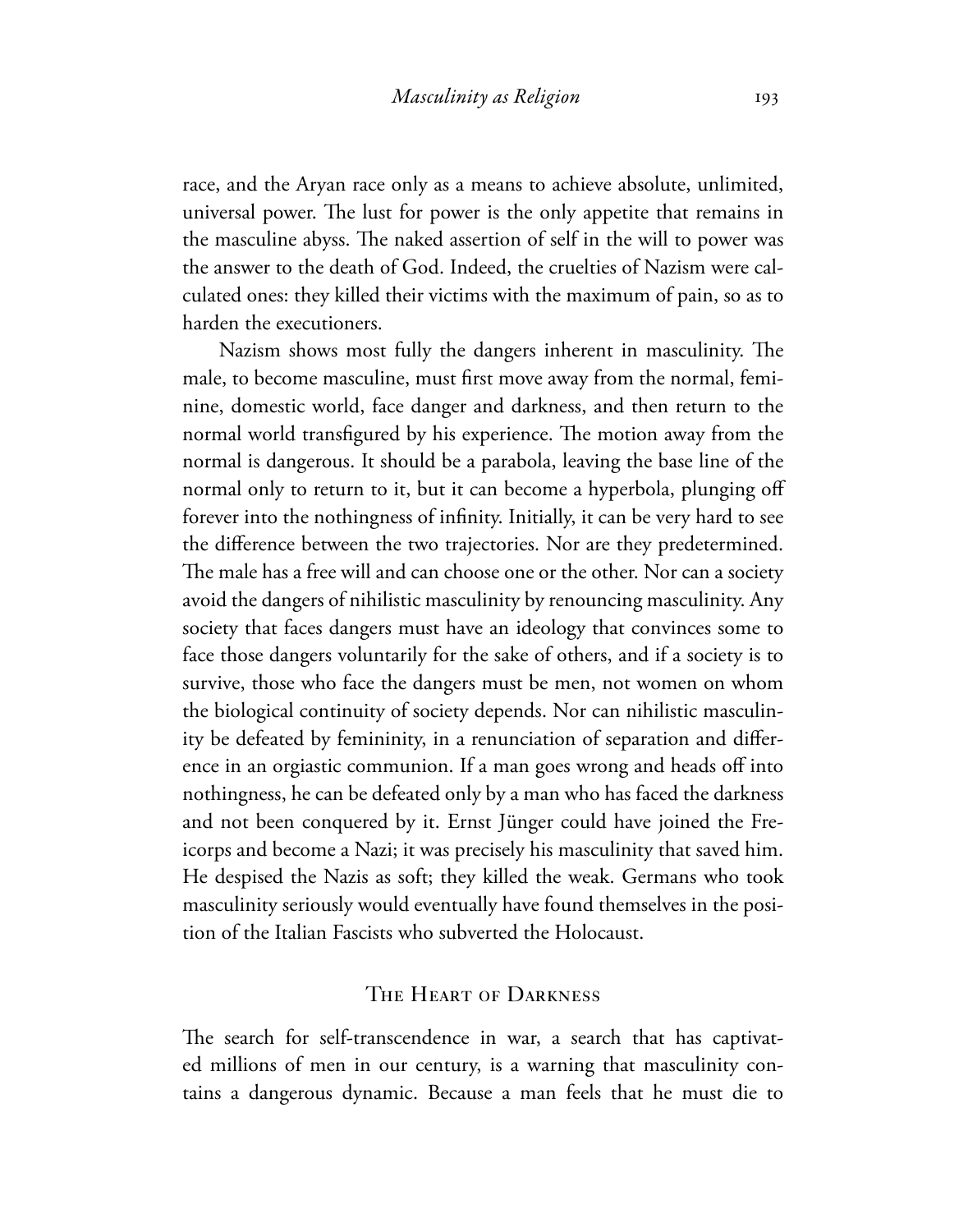race, and the Aryan race only as a means to achieve absolute, unlimited, universal power. The lust for power is the only appetite that remains in the masculine abyss. The naked assertion of self in the will to power was the answer to the death of God. Indeed, the cruelties of Nazism were calculated ones: they killed their victims with the maximum of pain, so as to harden the executioners.

Nazism shows most fully the dangers inherent in masculinity. The male, to become masculine, must first move away from the normal, feminine, domestic world, face danger and darkness, and then return to the normal world transfigured by his experience. The motion away from the normal is dangerous. It should be a parabola, leaving the base line of the normal only to return to it, but it can become a hyperbola, plunging off forever into the nothingness of infinity. Initially, it can be very hard to see the difference between the two trajectories. Nor are they predetermined. The male has a free will and can choose one or the other. Nor can a society avoid the dangers of nihilistic masculinity by renouncing masculinity. Any society that faces dangers must have an ideology that convinces some to face those dangers voluntarily for the sake of others, and if a society is to survive, those who face the dangers must be men, not women on whom the biological continuity of society depends. Nor can nihilistic masculinity be defeated by femininity, in a renunciation of separation and difference in an orgiastic communion. If a man goes wrong and heads off into nothingness, he can be defeated only by a man who has faced the darkness and not been conquered by it. Ernst Jünger could have joined the Freicorps and become a Nazi; it was precisely his masculinity that saved him. He despised the Nazis as soft; they killed the weak. Germans who took masculinity seriously would eventually have found themselves in the position of the Italian Fascists who subverted the Holocaust.

# The Heart of Darkness

The search for self-transcendence in war, a search that has captivated millions of men in our century, is a warning that masculinity contains a dangerous dynamic. Because a man feels that he must die to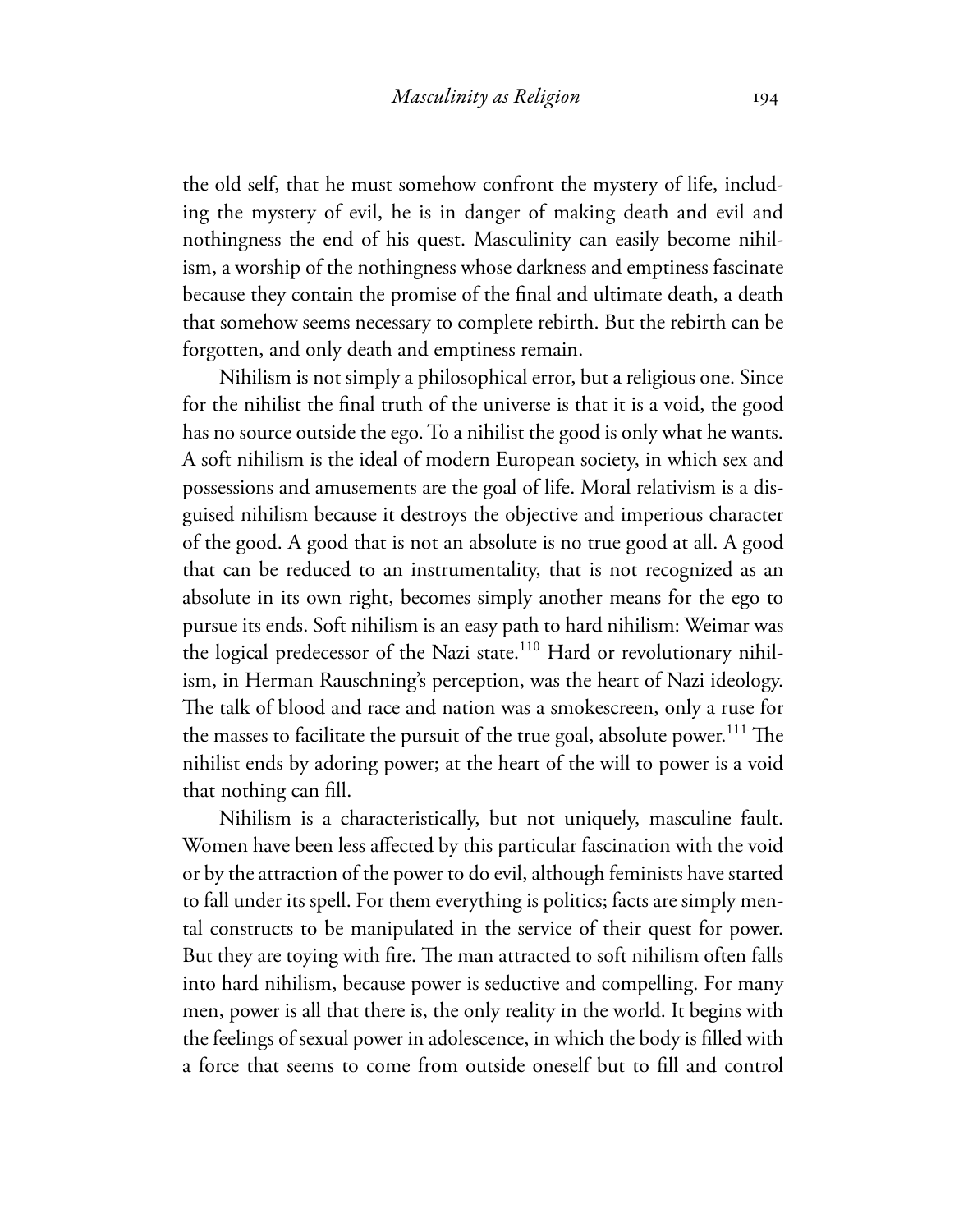the old self, that he must somehow confront the mystery of life, including the mystery of evil, he is in danger of making death and evil and nothingness the end of his quest. Masculinity can easily become nihilism, a worship of the nothingness whose darkness and emptiness fascinate because they contain the promise of the final and ultimate death, a death that somehow seems necessary to complete rebirth. But the rebirth can be forgotten, and only death and emptiness remain.

Nihilism is not simply a philosophical error, but a religious one. Since for the nihilist the final truth of the universe is that it is a void, the good has no source outside the ego. To a nihilist the good is only what he wants. A soft nihilism is the ideal of modern European society, in which sex and possessions and amusements are the goal of life. Moral relativism is a disguised nihilism because it destroys the objective and imperious character of the good. A good that is not an absolute is no true good at all. A good that can be reduced to an instrumentality, that is not recognized as an absolute in its own right, becomes simply another means for the ego to pursue its ends. Soft nihilism is an easy path to hard nihilism: Weimar was the logical predecessor of the Nazi state.<sup>110</sup> Hard or revolutionary nihilism, in Herman Rauschning's perception, was the heart of Nazi ideology. The talk of blood and race and nation was a smokescreen, only a ruse for the masses to facilitate the pursuit of the true goal, absolute power.<sup>111</sup> The nihilist ends by adoring power; at the heart of the will to power is a void that nothing can fill.

Nihilism is a characteristically, but not uniquely, masculine fault. Women have been less affected by this particular fascination with the void or by the attraction of the power to do evil, although feminists have started to fall under its spell. For them everything is politics; facts are simply mental constructs to be manipulated in the service of their quest for power. But they are toying with fire. The man attracted to soft nihilism often falls into hard nihilism, because power is seductive and compelling. For many men, power is all that there is, the only reality in the world. It begins with the feelings of sexual power in adolescence, in which the body is filled with a force that seems to come from outside oneself but to fill and control